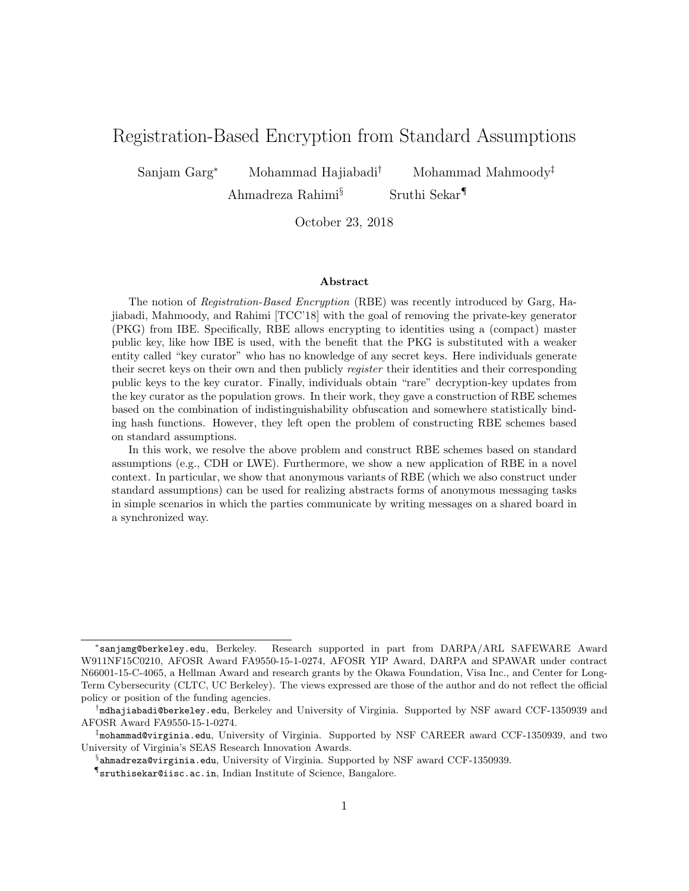## Registration-Based Encryption from Standard Assumptions

Sanjam Garg<sup>∗</sup> Mohammad Hajiabadi† Mohammad Mahmoody‡

Ahmadreza Rahimi<sup>§</sup> Sruthi Sekar<sup>¶</sup>

October 23, 2018

#### Abstract

The notion of Registration-Based Encryption (RBE) was recently introduced by Garg, Hajiabadi, Mahmoody, and Rahimi [TCC'18] with the goal of removing the private-key generator (PKG) from IBE. Specifically, RBE allows encrypting to identities using a (compact) master public key, like how IBE is used, with the benefit that the PKG is substituted with a weaker entity called "key curator" who has no knowledge of any secret keys. Here individuals generate their secret keys on their own and then publicly register their identities and their corresponding public keys to the key curator. Finally, individuals obtain "rare" decryption-key updates from the key curator as the population grows. In their work, they gave a construction of RBE schemes based on the combination of indistinguishability obfuscation and somewhere statistically binding hash functions. However, they left open the problem of constructing RBE schemes based on standard assumptions.

In this work, we resolve the above problem and construct RBE schemes based on standard assumptions (e.g., CDH or LWE). Furthermore, we show a new application of RBE in a novel context. In particular, we show that anonymous variants of RBE (which we also construct under standard assumptions) can be used for realizing abstracts forms of anonymous messaging tasks in simple scenarios in which the parties communicate by writing messages on a shared board in a synchronized way.

<sup>\*</sup>sanjamg@berkeley.edu, Berkeley. Research supported in part from DARPA/ARL SAFEWARE Award W911NF15C0210, AFOSR Award FA9550-15-1-0274, AFOSR YIP Award, DARPA and SPAWAR under contract N66001-15-C-4065, a Hellman Award and research grants by the Okawa Foundation, Visa Inc., and Center for Long-Term Cybersecurity (CLTC, UC Berkeley). The views expressed are those of the author and do not reflect the official policy or position of the funding agencies.

<sup>†</sup> mdhajiabadi@berkeley.edu, Berkeley and University of Virginia. Supported by NSF award CCF-1350939 and AFOSR Award FA9550-15-1-0274.

<sup>‡</sup> mohammad@virginia.edu, University of Virginia. Supported by NSF CAREER award CCF-1350939, and two University of Virginia's SEAS Research Innovation Awards.

 $\S$ ahmadreza@virginia.edu, University of Virginia. Supported by NSF award CCF-1350939.

<sup>¶</sup> sruthisekar@iisc.ac.in, Indian Institute of Science, Bangalore.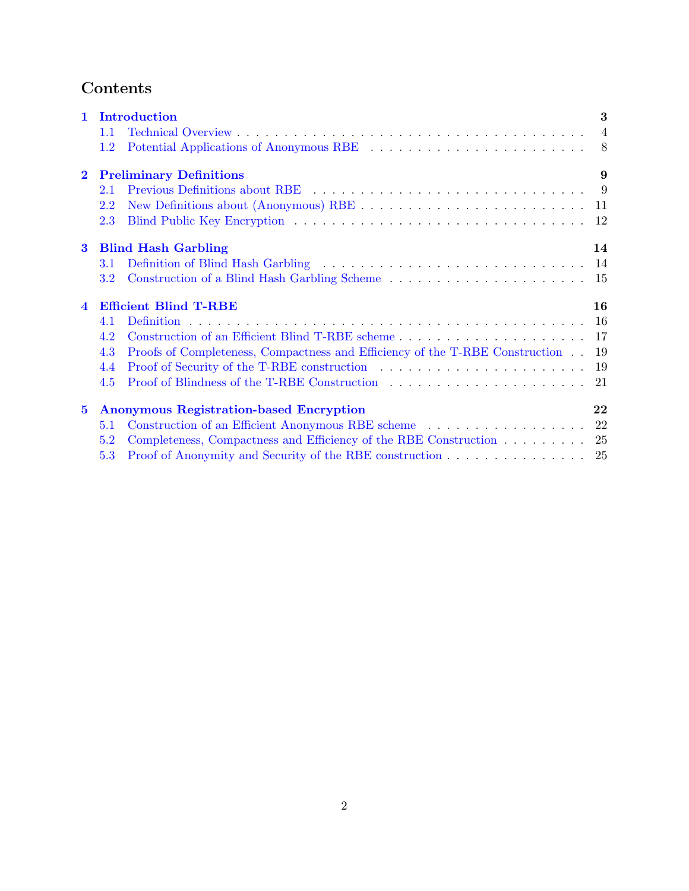# Contents

| $\mathbf{1}$     | Introduction                                   |                                                                                                 |    |
|------------------|------------------------------------------------|-------------------------------------------------------------------------------------------------|----|
|                  | 1.1                                            |                                                                                                 |    |
|                  | 1.2                                            |                                                                                                 |    |
| $\bf{2}$         | <b>Preliminary Definitions</b>                 |                                                                                                 | 9  |
|                  | 2.1                                            |                                                                                                 |    |
|                  | 2.2                                            |                                                                                                 |    |
|                  | 2.3                                            |                                                                                                 |    |
| 3                | <b>Blind Hash Garbling</b>                     |                                                                                                 | 14 |
|                  | 3.1                                            |                                                                                                 |    |
|                  | $3.2\,$                                        |                                                                                                 |    |
| $\blacktriangle$ | <b>Efficient Blind T-RBE</b>                   |                                                                                                 | 16 |
|                  | 4.1                                            |                                                                                                 |    |
|                  | 4.2                                            |                                                                                                 |    |
|                  | 4.3                                            | Proofs of Completeness, Compactness and Efficiency of the T-RBE Construction                    | 19 |
|                  | 4.4                                            |                                                                                                 |    |
|                  | 4.5                                            |                                                                                                 |    |
| $5^{\circ}$      | <b>Anonymous Registration-based Encryption</b> |                                                                                                 | 22 |
|                  | 5.1                                            | Construction of an Efficient Anonymous RBE scheme 22                                            |    |
|                  | 5.2                                            | Completeness, Compactness and Efficiency of the RBE Construction 25                             |    |
|                  | 5.3                                            | Proof of Anonymity and Security of the RBE construction $\ldots \ldots \ldots \ldots \ldots$ 25 |    |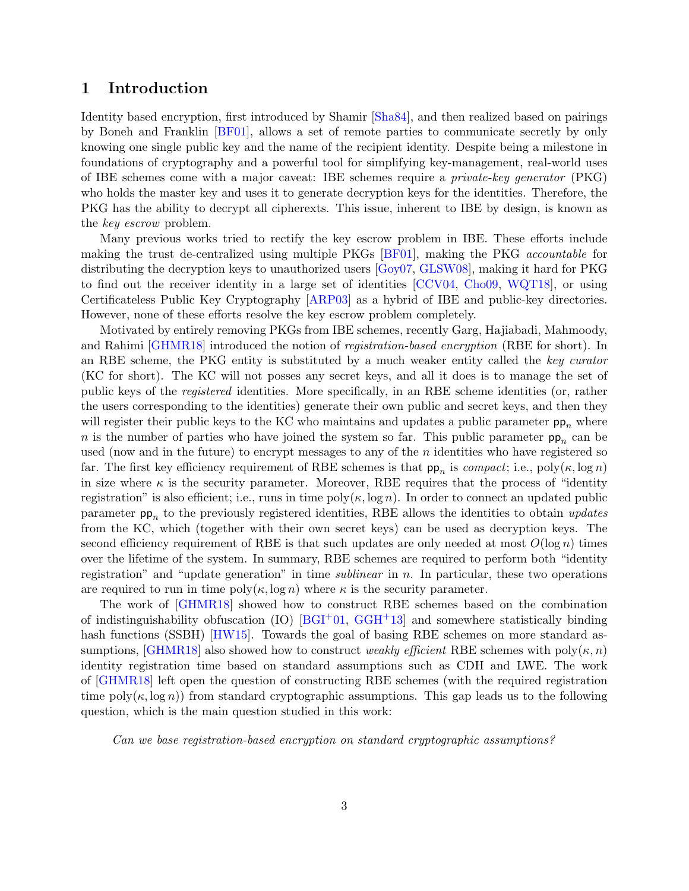## <span id="page-2-0"></span>1 Introduction

Identity based encryption, first introduced by Shamir [\[Sha84\]](#page-29-0), and then realized based on pairings by Boneh and Franklin [\[BF01\]](#page-27-0), allows a set of remote parties to communicate secretly by only knowing one single public key and the name of the recipient identity. Despite being a milestone in foundations of cryptography and a powerful tool for simplifying key-management, real-world uses of IBE schemes come with a major caveat: IBE schemes require a private-key generator (PKG) who holds the master key and uses it to generate decryption keys for the identities. Therefore, the PKG has the ability to decrypt all cipherexts. This issue, inherent to IBE by design, is known as the key escrow problem.

Many previous works tried to rectify the key escrow problem in IBE. These efforts include making the trust de-centralized using multiple PKGs [\[BF01\]](#page-27-0), making the PKG accountable for distributing the decryption keys to unauthorized users [\[Goy07,](#page-29-1) [GLSW08\]](#page-28-0), making it hard for PKG to find out the receiver identity in a large set of identities [\[CCV04,](#page-28-1) [Cho09,](#page-28-2) [WQT18\]](#page-29-2), or using Certificateless Public Key Cryptography [\[ARP03\]](#page-27-1) as a hybrid of IBE and public-key directories. However, none of these efforts resolve the key escrow problem completely.

Motivated by entirely removing PKGs from IBE schemes, recently Garg, Hajiabadi, Mahmoody, and Rahimi [\[GHMR18\]](#page-28-3) introduced the notion of registration-based encryption (RBE for short). In an RBE scheme, the PKG entity is substituted by a much weaker entity called the key curator (KC for short). The KC will not posses any secret keys, and all it does is to manage the set of public keys of the registered identities. More specifically, in an RBE scheme identities (or, rather the users corresponding to the identities) generate their own public and secret keys, and then they will register their public keys to the KC who maintains and updates a public parameter  $pp_n$  where n is the number of parties who have joined the system so far. This public parameter  $pp_n$  can be used (now and in the future) to encrypt messages to any of the  $n$  identities who have registered so far. The first key efficiency requirement of RBE schemes is that  $pp_n$  is  $compact;$  i.e.,  $poly(\kappa, \log n)$ in size where  $\kappa$  is the security parameter. Moreover, RBE requires that the process of "identity" registration" is also efficient; i.e., runs in time  $poly(\kappa, \log n)$ . In order to connect an updated public parameter  $pp_n$  to the previously registered identities, RBE allows the identities to obtain  $\mu$ *pdates* from the KC, which (together with their own secret keys) can be used as decryption keys. The second efficiency requirement of RBE is that such updates are only needed at most  $O(\log n)$  times over the lifetime of the system. In summary, RBE schemes are required to perform both "identity registration" and "update generation" in time sublinear in n. In particular, these two operations are required to run in time  $poly(\kappa, \log n)$  where  $\kappa$  is the security parameter.

The work of [\[GHMR18\]](#page-28-3) showed how to construct RBE schemes based on the combination of indistinguishability obfuscation (IO)  $[BGI^+01, GGH^+13]$  $[BGI^+01, GGH^+13]$  $[BGI^+01, GGH^+13]$  $[BGI^+01, GGH^+13]$  and somewhere statistically binding hash functions (SSBH) [\[HW15\]](#page-29-3). Towards the goal of basing RBE schemes on more standard as-sumptions, [\[GHMR18\]](#page-28-3) also showed how to construct weakly efficient RBE schemes with poly( $\kappa$ , n) identity registration time based on standard assumptions such as CDH and LWE. The work of [\[GHMR18\]](#page-28-3) left open the question of constructing RBE schemes (with the required registration time poly( $\kappa$ , log n)) from standard cryptographic assumptions. This gap leads us to the following question, which is the main question studied in this work:

Can we base registration-based encryption on standard cryptographic assumptions?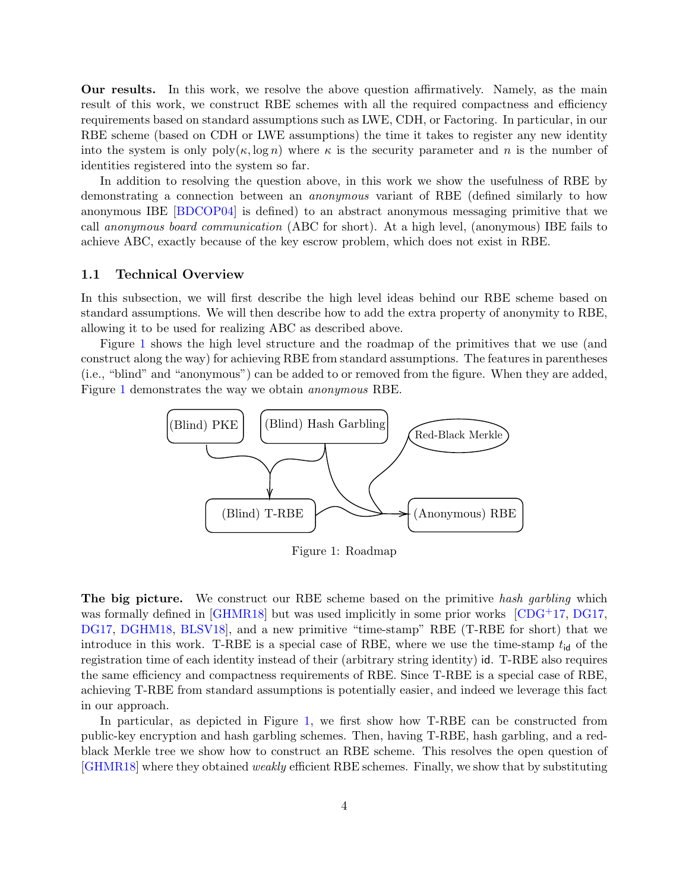Our results. In this work, we resolve the above question affirmatively. Namely, as the main result of this work, we construct RBE schemes with all the required compactness and efficiency requirements based on standard assumptions such as LWE, CDH, or Factoring. In particular, in our RBE scheme (based on CDH or LWE assumptions) the time it takes to register any new identity into the system is only  $poly(\kappa, \log n)$  where  $\kappa$  is the security parameter and n is the number of identities registered into the system so far.

In addition to resolving the question above, in this work we show the usefulness of RBE by demonstrating a connection between an anonymous variant of RBE (defined similarly to how anonymous IBE [\[BDCOP04\]](#page-27-3) is defined) to an abstract anonymous messaging primitive that we call anonymous board communication (ABC for short). At a high level, (anonymous) IBE fails to achieve ABC, exactly because of the key escrow problem, which does not exist in RBE.

#### <span id="page-3-0"></span>1.1 Technical Overview

In this subsection, we will first describe the high level ideas behind our RBE scheme based on standard assumptions. We will then describe how to add the extra property of anonymity to RBE, allowing it to be used for realizing ABC as described above.

Figure [1](#page-3-1) shows the high level structure and the roadmap of the primitives that we use (and construct along the way) for achieving RBE from standard assumptions. The features in parentheses (i.e., "blind" and "anonymous") can be added to or removed from the figure. When they are added, Figure [1](#page-3-1) demonstrates the way we obtain anonymous RBE.



<span id="page-3-1"></span>Figure 1: Roadmap

**The big picture.** We construct our RBE scheme based on the primitive hash garbling which was formally defined in [\[GHMR18\]](#page-28-3) but was used implicitly in some prior works [\[CDG](#page-28-5)+17, [DG17,](#page-28-6) [DG17,](#page-28-6) [DGHM18,](#page-28-7) BLSV18, and a new primitive "time-stamp" RBE (T-RBE for short) that we introduce in this work. T-RBE is a special case of RBE, where we use the time-stamp  $t_{\text{id}}$  of the registration time of each identity instead of their (arbitrary string identity) id. T-RBE also requires the same efficiency and compactness requirements of RBE. Since T-RBE is a special case of RBE, achieving T-RBE from standard assumptions is potentially easier, and indeed we leverage this fact in our approach.

In particular, as depicted in Figure [1,](#page-3-1) we first show how T-RBE can be constructed from public-key encryption and hash garbling schemes. Then, having T-RBE, hash garbling, and a redblack Merkle tree we show how to construct an RBE scheme. This resolves the open question of [\[GHMR18\]](#page-28-3) where they obtained weakly efficient RBE schemes. Finally, we show that by substituting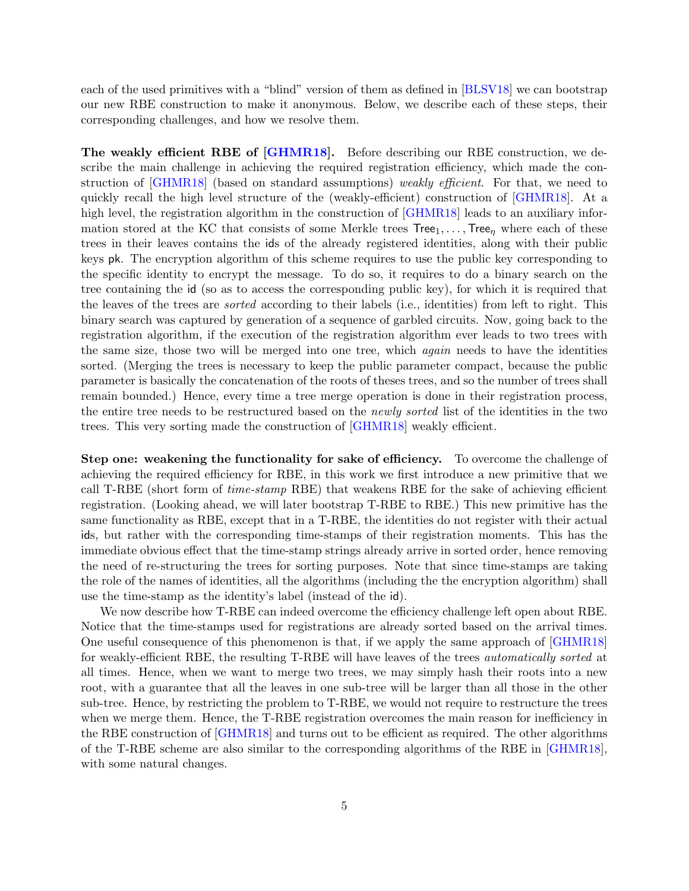each of the used primitives with a "blind" version of them as defined in [\[BLSV18\]](#page-27-4) we can bootstrap our new RBE construction to make it anonymous. Below, we describe each of these steps, their corresponding challenges, and how we resolve them.

The weakly efficient RBE of [\[GHMR18\]](#page-28-3). Before describing our RBE construction, we describe the main challenge in achieving the required registration efficiency, which made the con-struction of [\[GHMR18\]](#page-28-3) (based on standard assumptions) weakly efficient. For that, we need to quickly recall the high level structure of the (weakly-efficient) construction of [\[GHMR18\]](#page-28-3). At a high level, the registration algorithm in the construction of [\[GHMR18\]](#page-28-3) leads to an auxiliary information stored at the KC that consists of some Merkle trees  $Tree_1, \ldots, Tree_n$  where each of these trees in their leaves contains the ids of the already registered identities, along with their public keys pk. The encryption algorithm of this scheme requires to use the public key corresponding to the specific identity to encrypt the message. To do so, it requires to do a binary search on the tree containing the id (so as to access the corresponding public key), for which it is required that the leaves of the trees are sorted according to their labels (i.e., identities) from left to right. This binary search was captured by generation of a sequence of garbled circuits. Now, going back to the registration algorithm, if the execution of the registration algorithm ever leads to two trees with the same size, those two will be merged into one tree, which again needs to have the identities sorted. (Merging the trees is necessary to keep the public parameter compact, because the public parameter is basically the concatenation of the roots of theses trees, and so the number of trees shall remain bounded.) Hence, every time a tree merge operation is done in their registration process, the entire tree needs to be restructured based on the *newly sorted* list of the identities in the two trees. This very sorting made the construction of [\[GHMR18\]](#page-28-3) weakly efficient.

Step one: weakening the functionality for sake of efficiency. To overcome the challenge of achieving the required efficiency for RBE, in this work we first introduce a new primitive that we call T-RBE (short form of time-stamp RBE) that weakens RBE for the sake of achieving efficient registration. (Looking ahead, we will later bootstrap T-RBE to RBE.) This new primitive has the same functionality as RBE, except that in a T-RBE, the identities do not register with their actual ids, but rather with the corresponding time-stamps of their registration moments. This has the immediate obvious effect that the time-stamp strings already arrive in sorted order, hence removing the need of re-structuring the trees for sorting purposes. Note that since time-stamps are taking the role of the names of identities, all the algorithms (including the the encryption algorithm) shall use the time-stamp as the identity's label (instead of the id).

We now describe how T-RBE can indeed overcome the efficiency challenge left open about RBE. Notice that the time-stamps used for registrations are already sorted based on the arrival times. One useful consequence of this phenomenon is that, if we apply the same approach of [\[GHMR18\]](#page-28-3) for weakly-efficient RBE, the resulting T-RBE will have leaves of the trees automatically sorted at all times. Hence, when we want to merge two trees, we may simply hash their roots into a new root, with a guarantee that all the leaves in one sub-tree will be larger than all those in the other sub-tree. Hence, by restricting the problem to T-RBE, we would not require to restructure the trees when we merge them. Hence, the T-RBE registration overcomes the main reason for inefficiency in the RBE construction of [\[GHMR18\]](#page-28-3) and turns out to be efficient as required. The other algorithms of the T-RBE scheme are also similar to the corresponding algorithms of the RBE in [\[GHMR18\]](#page-28-3), with some natural changes.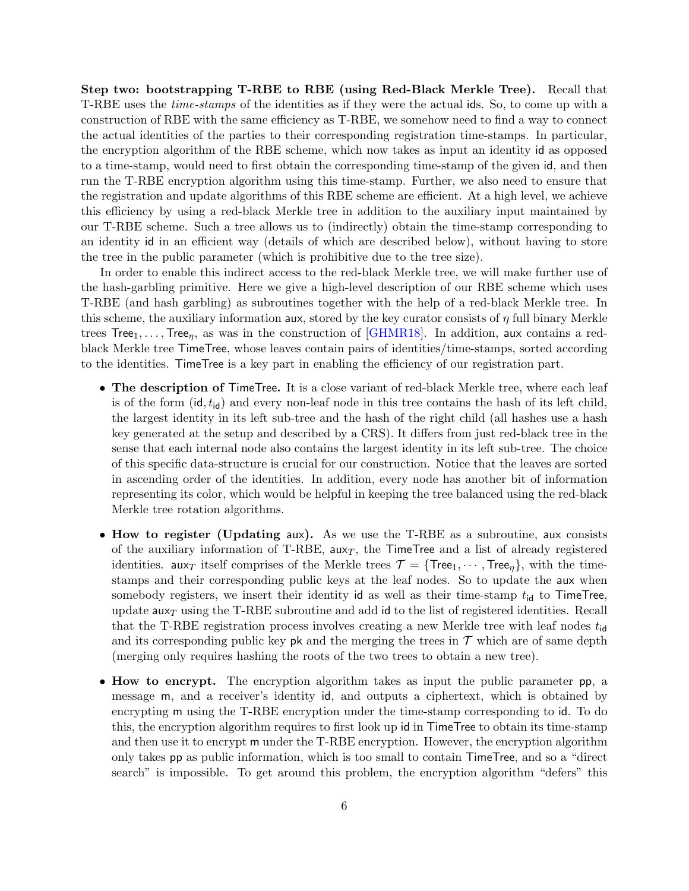Step two: bootstrapping T-RBE to RBE (using Red-Black Merkle Tree). Recall that T-RBE uses the time-stamps of the identities as if they were the actual ids. So, to come up with a construction of RBE with the same efficiency as T-RBE, we somehow need to find a way to connect the actual identities of the parties to their corresponding registration time-stamps. In particular, the encryption algorithm of the RBE scheme, which now takes as input an identity id as opposed to a time-stamp, would need to first obtain the corresponding time-stamp of the given id, and then run the T-RBE encryption algorithm using this time-stamp. Further, we also need to ensure that the registration and update algorithms of this RBE scheme are efficient. At a high level, we achieve this efficiency by using a red-black Merkle tree in addition to the auxiliary input maintained by our T-RBE scheme. Such a tree allows us to (indirectly) obtain the time-stamp corresponding to an identity id in an efficient way (details of which are described below), without having to store the tree in the public parameter (which is prohibitive due to the tree size).

In order to enable this indirect access to the red-black Merkle tree, we will make further use of the hash-garbling primitive. Here we give a high-level description of our RBE scheme which uses T-RBE (and hash garbling) as subroutines together with the help of a red-black Merkle tree. In this scheme, the auxiliary information aux, stored by the key curator consists of  $\eta$  full binary Merkle trees  $Tree_1, \ldots, Tree_n$ , as was in the construction of [\[GHMR18\]](#page-28-3). In addition, aux contains a redblack Merkle tree TimeTree, whose leaves contain pairs of identities/time-stamps, sorted according to the identities. TimeTree is a key part in enabling the efficiency of our registration part.

- The description of TimeTree. It is a close variant of red-black Merkle tree, where each leaf is of the form  $(id, t_{id})$  and every non-leaf node in this tree contains the hash of its left child, the largest identity in its left sub-tree and the hash of the right child (all hashes use a hash key generated at the setup and described by a CRS). It differs from just red-black tree in the sense that each internal node also contains the largest identity in its left sub-tree. The choice of this specific data-structure is crucial for our construction. Notice that the leaves are sorted in ascending order of the identities. In addition, every node has another bit of information representing its color, which would be helpful in keeping the tree balanced using the red-black Merkle tree rotation algorithms.
- How to register (Updating aux). As we use the T-RBE as a subroutine, aux consists of the auxiliary information of T-RBE,  $aux_T$ , the TimeTree and a list of already registered identities.  $\mathsf{aux}_T$  itself comprises of the Merkle trees  $\mathcal{T} = {\text{Tree}_1, \cdots, \text{Tree}_n}$ , with the timestamps and their corresponding public keys at the leaf nodes. So to update the aux when somebody registers, we insert their identity id as well as their time-stamp  $t_{id}$  to TimeTree, update  $\mathsf{aux}_T$  using the T-RBE subroutine and add id to the list of registered identities. Recall that the T-RBE registration process involves creating a new Merkle tree with leaf nodes  $t_{\text{id}}$ and its corresponding public key pk and the merging the trees in  $\mathcal T$  which are of same depth (merging only requires hashing the roots of the two trees to obtain a new tree).
- How to encrypt. The encryption algorithm takes as input the public parameter pp, a message m, and a receiver's identity id, and outputs a ciphertext, which is obtained by encrypting m using the T-RBE encryption under the time-stamp corresponding to id. To do this, the encryption algorithm requires to first look up id in TimeTree to obtain its time-stamp and then use it to encrypt m under the T-RBE encryption. However, the encryption algorithm only takes pp as public information, which is too small to contain TimeTree, and so a "direct search" is impossible. To get around this problem, the encryption algorithm "defers" this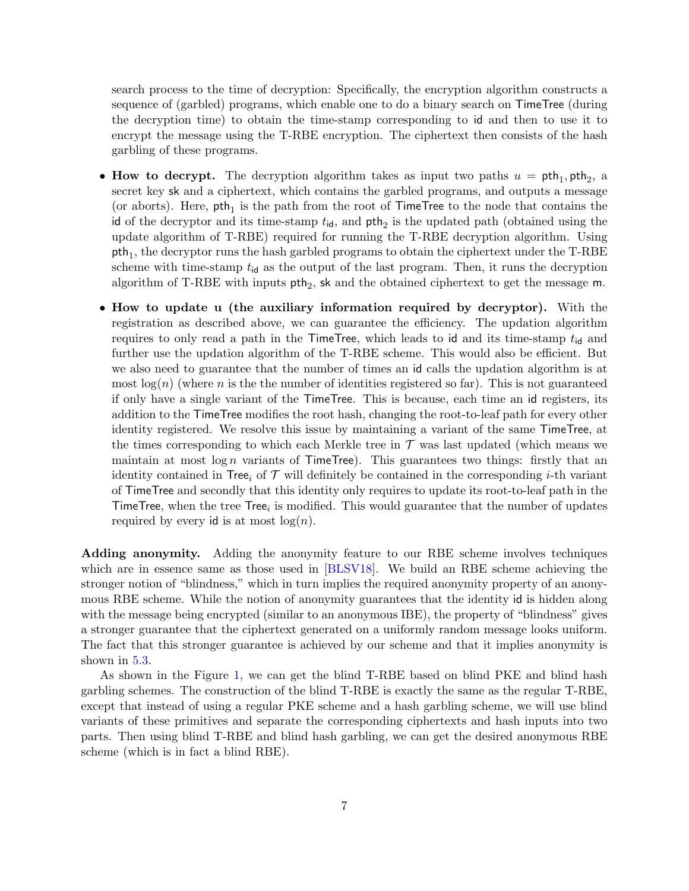search process to the time of decryption: Specifically, the encryption algorithm constructs a sequence of (garbled) programs, which enable one to do a binary search on TimeTree (during the decryption time) to obtain the time-stamp corresponding to id and then to use it to encrypt the message using the T-RBE encryption. The ciphertext then consists of the hash garbling of these programs.

- How to decrypt. The decryption algorithm takes as input two paths  $u = \text{pth}_1, \text{pth}_2,$  a secret key sk and a ciphertext, which contains the garbled programs, and outputs a message (or aborts). Here,  $pth_1$  is the path from the root of TimeTree to the node that contains the id of the decryptor and its time-stamp  $t_{\text{id}}$ , and  $\text{pth}_2$  is the updated path (obtained using the update algorithm of T-RBE) required for running the T-RBE decryption algorithm. Using pth<sub>1</sub>, the decryptor runs the hash garbled programs to obtain the ciphertext under the T-RBE scheme with time-stamp  $t_{\text{id}}$  as the output of the last program. Then, it runs the decryption algorithm of T-RBE with inputs  $pth_2$ , sk and the obtained ciphertext to get the message m.
- How to update u (the auxiliary information required by decryptor). With the registration as described above, we can guarantee the efficiency. The updation algorithm requires to only read a path in the TimeTree, which leads to id and its time-stamp  $t_{\text{id}}$  and further use the updation algorithm of the T-RBE scheme. This would also be efficient. But we also need to guarantee that the number of times an id calls the updation algorithm is at most  $\log(n)$  (where n is the the number of identities registered so far). This is not guaranteed if only have a single variant of the TimeTree. This is because, each time an id registers, its addition to the TimeTree modifies the root hash, changing the root-to-leaf path for every other identity registered. We resolve this issue by maintaining a variant of the same TimeTree, at the times corresponding to which each Merkle tree in  $\mathcal T$  was last updated (which means we maintain at most  $\log n$  variants of TimeTree). This guarantees two things: firstly that an identity contained in Tree<sub>i</sub> of  $\mathcal T$  will definitely be contained in the corresponding *i*-th variant of TimeTree and secondly that this identity only requires to update its root-to-leaf path in the TimeTree, when the tree  $Tree_i$  is modified. This would guarantee that the number of updates required by every id is at most  $log(n)$ .

Adding anonymity. Adding the anonymity feature to our RBE scheme involves techniques which are in essence same as those used in [\[BLSV18\]](#page-27-4). We build an RBE scheme achieving the stronger notion of "blindness," which in turn implies the required anonymity property of an anonymous RBE scheme. While the notion of anonymity guarantees that the identity id is hidden along with the message being encrypted (similar to an anonymous IBE), the property of "blindness" gives a stronger guarantee that the ciphertext generated on a uniformly random message looks uniform. The fact that this stronger guarantee is achieved by our scheme and that it implies anonymity is shown in [5.3.](#page-24-1)

As shown in the Figure [1,](#page-3-1) we can get the blind T-RBE based on blind PKE and blind hash garbling schemes. The construction of the blind T-RBE is exactly the same as the regular T-RBE, except that instead of using a regular PKE scheme and a hash garbling scheme, we will use blind variants of these primitives and separate the corresponding ciphertexts and hash inputs into two parts. Then using blind T-RBE and blind hash garbling, we can get the desired anonymous RBE scheme (which is in fact a blind RBE).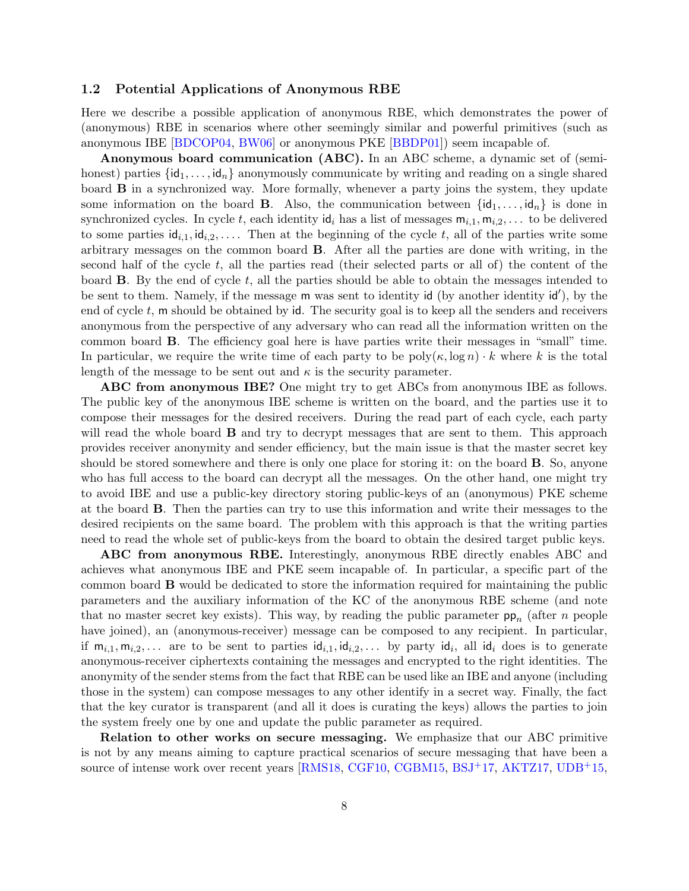#### <span id="page-7-0"></span>1.2 Potential Applications of Anonymous RBE

Here we describe a possible application of anonymous RBE, which demonstrates the power of (anonymous) RBE in scenarios where other seemingly similar and powerful primitives (such as anonymous IBE [\[BDCOP04,](#page-27-3) [BW06\]](#page-27-5) or anonymous PKE [\[BBDP01\]](#page-27-6)) seem incapable of.

Anonymous board communication (ABC). In an ABC scheme, a dynamic set of (semihonest) parties  $\{id_1, \ldots, id_n\}$  anonymously communicate by writing and reading on a single shared board B in a synchronized way. More formally, whenever a party joins the system, they update some information on the board **B**. Also, the communication between  $\{id_1, \ldots, id_n\}$  is done in synchronized cycles. In cycle t, each identity  $\mathsf{id}_i$  has a list of messages  $\mathsf{m}_{i,1}, \mathsf{m}_{i,2}, \ldots$  to be delivered to some parties  $id_{i,1}$ ,  $id_{i,2}$ , .... Then at the beginning of the cycle t, all of the parties write some arbitrary messages on the common board B. After all the parties are done with writing, in the second half of the cycle  $t$ , all the parties read (their selected parts or all of) the content of the board  $\bf{B}$ . By the end of cycle t, all the parties should be able to obtain the messages intended to be sent to them. Namely, if the message m was sent to identity id (by another identity id'), by the end of cycle t, m should be obtained by id. The security goal is to keep all the senders and receivers anonymous from the perspective of any adversary who can read all the information written on the common board B. The efficiency goal here is have parties write their messages in "small" time. In particular, we require the write time of each party to be  $poly(\kappa, \log n) \cdot k$  where k is the total length of the message to be sent out and  $\kappa$  is the security parameter.

ABC from anonymous IBE? One might try to get ABCs from anonymous IBE as follows. The public key of the anonymous IBE scheme is written on the board, and the parties use it to compose their messages for the desired receivers. During the read part of each cycle, each party will read the whole board **B** and try to decrypt messages that are sent to them. This approach provides receiver anonymity and sender efficiency, but the main issue is that the master secret key should be stored somewhere and there is only one place for storing it: on the board B. So, anyone who has full access to the board can decrypt all the messages. On the other hand, one might try to avoid IBE and use a public-key directory storing public-keys of an (anonymous) PKE scheme at the board B. Then the parties can try to use this information and write their messages to the desired recipients on the same board. The problem with this approach is that the writing parties need to read the whole set of public-keys from the board to obtain the desired target public keys.

ABC from anonymous RBE. Interestingly, anonymous RBE directly enables ABC and achieves what anonymous IBE and PKE seem incapable of. In particular, a specific part of the common board B would be dedicated to store the information required for maintaining the public parameters and the auxiliary information of the KC of the anonymous RBE scheme (and note that no master secret key exists). This way, by reading the public parameter  $pp_n$  (after n people have joined), an (anonymous-receiver) message can be composed to any recipient. In particular, if  $m_{i,1}, m_{i,2}, \ldots$  are to be sent to parties  $id_{i,1}, id_{i,2}, \ldots$  by party  $id_i$ , all  $id_i$  does is to generate anonymous-receiver ciphertexts containing the messages and encrypted to the right identities. The anonymity of the sender stems from the fact that RBE can be used like an IBE and anyone (including those in the system) can compose messages to any other identify in a secret way. Finally, the fact that the key curator is transparent (and all it does is curating the keys) allows the parties to join the system freely one by one and update the public parameter as required.

Relation to other works on secure messaging. We emphasize that our ABC primitive is not by any means aiming to capture practical scenarios of secure messaging that have been a source of intense work over recent years [\[RMS18,](#page-29-4) [CGF10,](#page-28-8) [CGBM15,](#page-28-9) [BSJ](#page-27-7)+17, [AKTZ17,](#page-27-8) [UDB](#page-29-5)+15,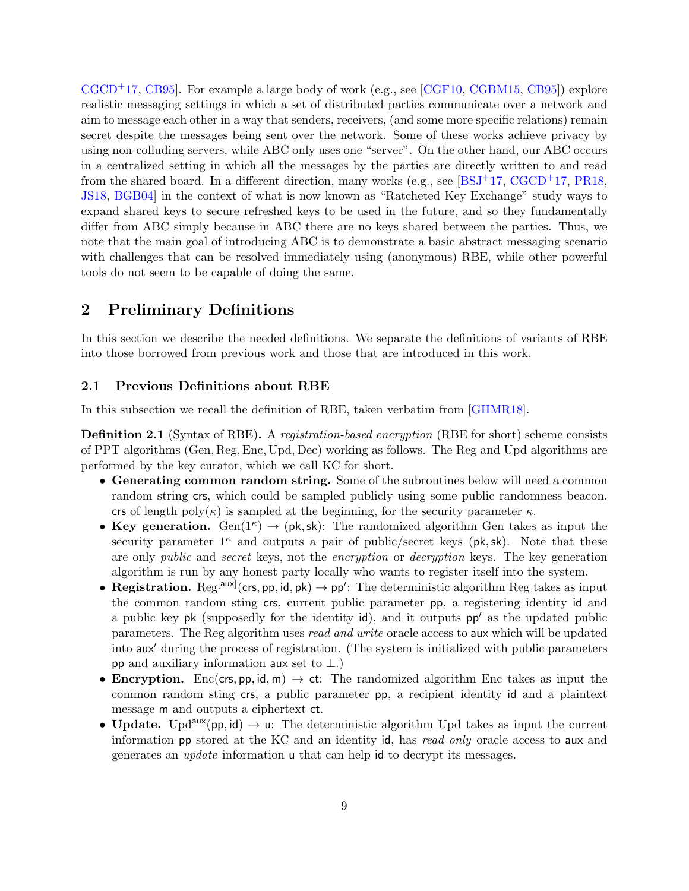$CGCD+17, CB95$  $CGCD+17, CB95$ . For example a large body of work (e.g., see [CGF10, CGBM15, [CB95\]](#page-27-9)) explore realistic messaging settings in which a set of distributed parties communicate over a network and aim to message each other in a way that senders, receivers, (and some more specific relations) remain secret despite the messages being sent over the network. Some of these works achieve privacy by using non-colluding servers, while ABC only uses one "server". On the other hand, our ABC occurs in a centralized setting in which all the messages by the parties are directly written to and read from the shared board. In a different direction, many works (e.g., see  $[BSJ^+17, CGCD^+17, PR18,$  $[BSJ^+17, CGCD^+17, PR18,$  $[BSJ^+17, CGCD^+17, PR18,$  $[BSJ^+17, CGCD^+17, PR18,$  $[BSJ^+17, CGCD^+17, PR18,$ [JS18,](#page-29-7) [BGB04\]](#page-27-10) in the context of what is now known as "Ratcheted Key Exchange" study ways to expand shared keys to secure refreshed keys to be used in the future, and so they fundamentally differ from ABC simply because in ABC there are no keys shared between the parties. Thus, we note that the main goal of introducing ABC is to demonstrate a basic abstract messaging scenario with challenges that can be resolved immediately using (anonymous) RBE, while other powerful tools do not seem to be capable of doing the same.

## <span id="page-8-0"></span>2 Preliminary Definitions

In this section we describe the needed definitions. We separate the definitions of variants of RBE into those borrowed from previous work and those that are introduced in this work.

#### <span id="page-8-1"></span>2.1 Previous Definitions about RBE

In this subsection we recall the definition of RBE, taken verbatim from [\[GHMR18\]](#page-28-3).

<span id="page-8-2"></span>**Definition 2.1** (Syntax of RBE). A registration-based encryption (RBE for short) scheme consists of PPT algorithms (Gen, Reg,Enc, Upd, Dec) working as follows. The Reg and Upd algorithms are performed by the key curator, which we call KC for short.

- Generating common random string. Some of the subroutines below will need a common random string crs, which could be sampled publicly using some public randomness beacon. crs of length poly( $\kappa$ ) is sampled at the beginning, for the security parameter  $\kappa$ .
- Key generation.  $Gen(1^{\kappa}) \rightarrow (pk, sk)$ : The randomized algorithm Gen takes as input the security parameter  $1^{\kappa}$  and outputs a pair of public/secret keys ( $pk, sk$ ). Note that these are only *public* and *secret* keys, not the *encryption* or *decryption* keys. The key generation algorithm is run by any honest party locally who wants to register itself into the system.
- Registration. Reg<sup>[aux]</sup> (crs, pp, id, pk)  $\rightarrow$  pp': The deterministic algorithm Reg takes as input the common random sting crs, current public parameter pp, a registering identity id and a public key pk (supposedly for the identity id), and it outputs  $pp'$  as the updated public parameters. The Reg algorithm uses read and write oracle access to aux which will be updated into aux' during the process of registration. (The system is initialized with public parameters pp and auxiliary information aux set to  $\perp$ .)
- Encryption. Enc(crs, pp, id, m)  $\rightarrow$  ct: The randomized algorithm Enc takes as input the common random sting crs, a public parameter pp, a recipient identity id and a plaintext message m and outputs a ciphertext ct.
- Update. Upd<sup>aux</sup>(pp, id)  $\rightarrow$  u: The deterministic algorithm Upd takes as input the current information pp stored at the KC and an identity id, has read only oracle access to aux and generates an update information u that can help id to decrypt its messages.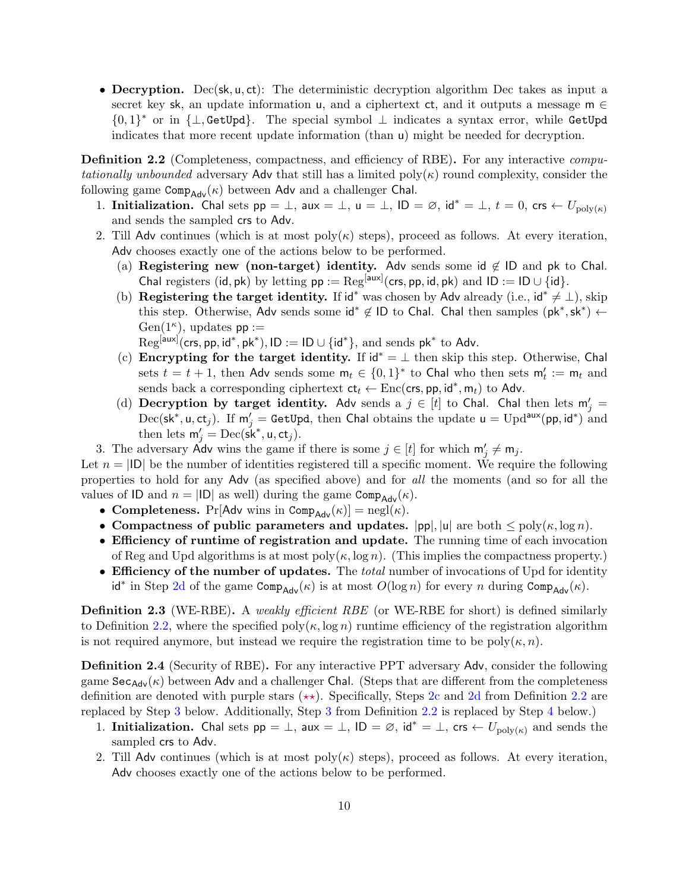• **Decryption.** Dec(sk, u, ct): The deterministic decryption algorithm Dec takes as input a secret key sk, an update information u, and a ciphertext  $ct$ , and it outputs a message  $m \in$ {0, 1} <sup>∗</sup> or in {⊥, GetUpd}. The special symbol ⊥ indicates a syntax error, while GetUpd indicates that more recent update information (than u) might be needed for decryption.

<span id="page-9-1"></span>**Definition 2.2** (Completeness, compactness, and efficiency of RBE). For any interactive *compu*tationally unbounded adversary Adv that still has a limited  $poly(\kappa)$  round complexity, consider the following game  $\text{Comp}_{Adv}(\kappa)$  between Adv and a challenger Chal.

- 1. Initialization. Chal sets  $pp = \perp$ , aux  $= \perp$ ,  $u = \perp$ ,  $ID = \emptyset$ ,  $id^* = \perp$ ,  $t = 0$ , crs  $\leftarrow U_{\text{poly}(k)}$ and sends the sampled crs to Adv.
- 2. Till Adv continues (which is at most  $\text{poly}(\kappa)$  steps), proceed as follows. At every iteration, Adv chooses exactly one of the actions below to be performed.
	- (a) Registering new (non-target) identity. Adv sends some id  $\notin$  ID and pk to Chal. Chal registers (id, pk) by letting  $pp := \text{Reg}^{[aux]}(crs, pp, id, pk)$  and  $ID := ID \cup \{id\}.$
	- (b) Registering the target identity. If id<sup>\*</sup> was chosen by Adv already (i.e., id<sup>\*</sup>  $\neq \perp$ ), skip this step. Otherwise, Adv sends some  $id^* \notin ID$  to Chal. Chal then samples  $(\mathsf{pk}^*, \mathsf{sk}^*) \leftarrow$  $Gen(1^{\kappa})$ , updates pp :=

 $Reg^{[aux]}(crs, pp, id^*, pk^*), ID := ID \cup \{id^*\},$  and sends  $pk^*$  to Adv.

- <span id="page-9-2"></span>(c) Encrypting for the target identity. If  $\mathsf{id}^* = \perp$  then skip this step. Otherwise, Chal sets  $t = t + 1$ , then Adv sends some  $m_t \in \{0, 1\}^*$  to Chal who then sets  $m'_t := m_t$  and sends back a corresponding ciphertext  $ct_t \leftarrow Enc(crs, pp, id^*, m_t)$  to Adv.
- <span id="page-9-0"></span>(d) Decryption by target identity. Adv sends a  $j \in [t]$  to Chal. Chal then lets  $m'_j =$  $\mathrm{Dec}(\mathsf{sk}^*, \mathsf{u}, \mathsf{ct}_j).$  If  $\mathsf{m}_j' = \mathtt{GetUpd},$  then  $\mathsf{Chal}$  obtains the update  $\mathsf{u} = \mathrm{Upd}^{\mathsf{aux}}(\mathsf{pp}, \mathsf{id}^*)$  and then lets  $m'_j = \text{Dec}(\mathbf{s}\mathbf{k}^*, \mathbf{u}, \mathbf{ct}_j).$
- <span id="page-9-3"></span>3. The adversary  $\mathsf{Adv}\xspace$  wins the game if there is some  $j \in [t]$  for which  $\mathsf{m}'_j \neq \mathsf{m}_j$ .

Let  $n = |1D|$  be the number of identities registered till a specific moment. We require the following properties to hold for any Adv (as specified above) and for all the moments (and so for all the values of ID and  $n = |1D|$  as well) during the game Comp<sub>Adv</sub> $(\kappa)$ .

- Completeness. Pr[Adv wins in Comp<sub>Adv</sub> $(\kappa)$ ] = negl $(\kappa)$ .
- Compactness of public parameters and updates.  $|pp|, |u|$  are both  $\leq poly(\kappa, \log n)$ .
- Efficiency of runtime of registration and update. The running time of each invocation of Reg and Upd algorithms is at most  $poly(\kappa, \log n)$ . (This implies the compactness property.)
- Efficiency of the number of updates. The *total* number of invocations of Upd for identity id<sup>\*</sup> in Step [2d](#page-9-0) of the game  $\text{Comp}_{\text{Adv}}(\kappa)$  is at most  $O(\log n)$  for every n during  $\text{Comp}_{\text{Adv}}(\kappa)$ .

**Definition 2.3** (WE-RBE). A weakly efficient RBE (or WE-RBE for short) is defined similarly to Definition [2.2,](#page-9-1) where the specified poly( $\kappa$ , log n) runtime efficiency of the registration algorithm is not required anymore, but instead we require the registration time to be  $poly(\kappa, n)$ .

<span id="page-9-4"></span>Definition 2.4 (Security of RBE). For any interactive PPT adversary Adv, consider the following game  $\text{Sec}_{\text{Adv}}(\kappa)$  between Adv and a challenger Chal. (Steps that are different from the completeness definition are denoted with purple stars  $(\star \star)$ . Specifically, Steps [2c](#page-9-2) and [2d](#page-9-0) from Definition [2.2](#page-9-1) are replaced by Step [3](#page-10-1) below. Additionally, Step [3](#page-9-3) from Definition [2.2](#page-9-1) is replaced by Step [4](#page-10-2) below.)

- 1. Initialization. Chal sets  $pp = \perp$ , aux  $= \perp$ , ID  $= \emptyset$ , id<sup>\*</sup>  $= \perp$ , crs  $\leftarrow U_{poly(\kappa)}$  and sends the sampled crs to Adv.
- 2. Till Adv continues (which is at most  $\text{poly}(\kappa)$  steps), proceed as follows. At every iteration, Adv chooses exactly one of the actions below to be performed.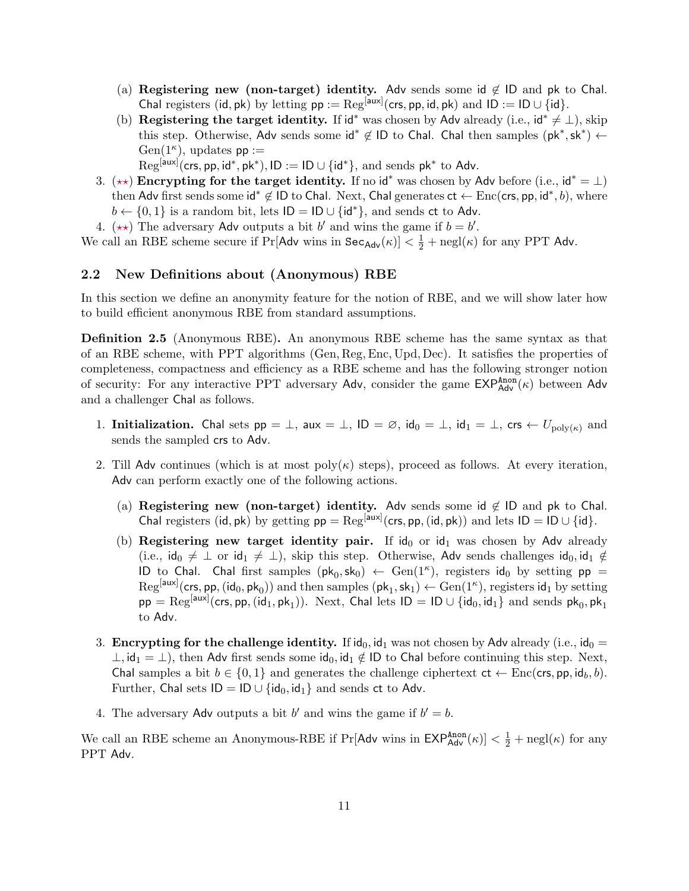- (a) Registering new (non-target) identity. Adv sends some id  $\notin$  ID and pk to Chal. Chal registers (id, pk) by letting  $pp := \text{Reg}^{[aux]}(crs, pp, id, pk)$  and  $ID := ID \cup \{id\}.$
- (b) Registering the target identity. If id<sup>\*</sup> was chosen by Adv already (i.e., id<sup>\*</sup>  $\neq \perp$ ), skip this step. Otherwise, Adv sends some  $id^* \notin ID$  to Chal. Chal then samples  $(\mathsf{pk}^*, \mathsf{sk}^*) \leftarrow$  $Gen(1^{\kappa})$ , updates pp :=
	- $Reg^{[aux]}(crs, pp, id^*, pk^*), ID := ID \cup \{id^*\},$  and sends  $pk^*$  to Adv.
- <span id="page-10-1"></span>3.  $(\star \star)$  Encrypting for the target identity. If no id<sup>∗</sup> was chosen by Adv before (i.e., id<sup>\*</sup> = ⊥) then Adv first sends some id<sup>\*</sup>  $\notin$  ID to Chal. Next, Chal generates  $ct \leftarrow Enc(crs, pp, id^*, b)$ , where  $b \leftarrow \{0, 1\}$  is a random bit, lets  $ID = ID \cup \{id^*\}$ , and sends ct to Adv.
- <span id="page-10-2"></span>4. ( $\star\star$ ) The adversary Adv outputs a bit b' and wins the game if  $b = b'$ .

We call an RBE scheme secure if Pr[Adv wins in  $\texttt{Sec}_{\text{Adv}}(\kappa)] < \frac{1}{2} + \text{negl}(\kappa)$  for any PPT Adv.

#### <span id="page-10-0"></span>2.2 New Definitions about (Anonymous) RBE

In this section we define an anonymity feature for the notion of RBE, and we will show later how to build efficient anonymous RBE from standard assumptions.

<span id="page-10-3"></span>Definition 2.5 (Anonymous RBE). An anonymous RBE scheme has the same syntax as that of an RBE scheme, with PPT algorithms (Gen, Reg,Enc, Upd, Dec). It satisfies the properties of completeness, compactness and efficiency as a RBE scheme and has the following stronger notion of security: For any interactive PPT adversary Adv, consider the game  $\mathsf{EXP}_{\mathsf{Adv}}^{\mathsf{Anon}}(\kappa)$  between Adv and a challenger Chal as follows.

- 1. Initialization. Chal sets  $pp = \perp$ , aux  $= \perp$ , ID  $= \emptyset$ , id<sub>0</sub>  $= \perp$ , id<sub>1</sub>  $= \perp$ , crs  $\leftarrow U_{\text{poly}(\kappa)}$  and sends the sampled crs to Adv.
- 2. Till Adv continues (which is at most  $poly(\kappa)$  steps), proceed as follows. At every iteration, Adv can perform exactly one of the following actions.
	- (a) Registering new (non-target) identity. Adv sends some id  $\notin$  ID and pk to Chal. Chal registers (id, pk) by getting  $pp = \text{Reg}^{[aux]}(crs, pp, (id, pk))$  and lets  $ID = ID \cup \{id\}.$
	- (b) Registering new target identity pair. If  $\mathrm{id}_0$  or  $\mathrm{id}_1$  was chosen by Adv already (i.e.,  $\mathsf{id}_0 \neq \perp$  or  $\mathsf{id}_1 \neq \perp$ ), skip this step. Otherwise, Adv sends challenges  $\mathsf{id}_0, \mathsf{id}_1 \notin$ ID to Chal. Chal first samples  $(\mathsf{pk}_0, \mathsf{sk}_0) \leftarrow \text{Gen}(1^{\kappa})$ , registers id<sub>0</sub> by setting  $\mathsf{pp} =$  $Reg^{[aux]}(crs, pp, (id_0, pk_0))$  and then samples  $(pk_1, sk_1) \leftarrow Gen(1^{\kappa})$ , registers  $id_1$  by setting  $pp = \text{Reg}^{[aux]}(\text{crs}, pp, (\text{id}_1, \text{pk}_1))$ . Next, Chal lets  $ID = ID \cup \{id_0, id_1\}$  and sends  $pk_0, pk_1$ to Adv.
- 3. Encrypting for the challenge identity. If  $\mathsf{id}_0$ ,  $\mathsf{id}_1$  was not chosen by Adv already (i.e.,  $\mathsf{id}_0 =$ ⊥,  $id_1 = \bot$ ), then Adv first sends some  $id_0$ ,  $id_1 \notin ID$  to Chal before continuing this step. Next, Chal samples a bit  $b \in \{0,1\}$  and generates the challenge ciphertext  $ct \leftarrow \text{Enc}(\text{crs}, \text{pp}, \text{id}_b, b)$ . Further, Chal sets  $ID = ID \cup \{id_0, id_1\}$  and sends ct to Adv.
- 4. The adversary Adv outputs a bit b' and wins the game if  $b' = b$ .

We call an RBE scheme an Anonymous-RBE if  $Pr[Adv \text{ wins in } EXP_{Adv}^{Anon}(\kappa)] < \frac{1}{2} + negl(\kappa)$  for any PPT Adv.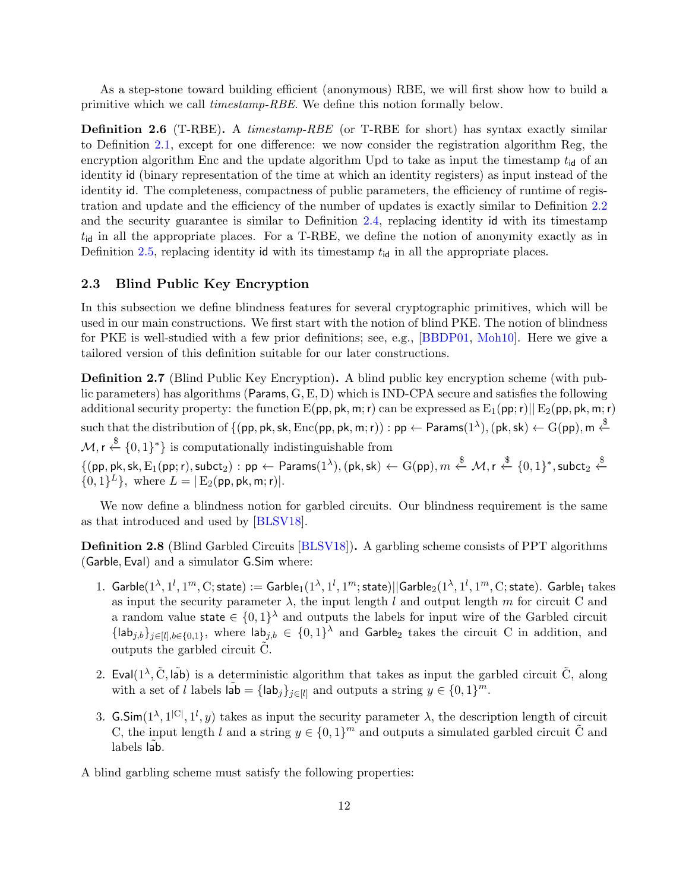As a step-stone toward building efficient (anonymous) RBE, we will first show how to build a primitive which we call timestamp-RBE. We define this notion formally below.

<span id="page-11-2"></span>Definition 2.6 (T-RBE). A timestamp-RBE (or T-RBE for short) has syntax exactly similar to Definition [2.1,](#page-8-2) except for one difference: we now consider the registration algorithm Reg, the encryption algorithm Enc and the update algorithm Upd to take as input the timestamp  $t_{\text{id}}$  of an identity id (binary representation of the time at which an identity registers) as input instead of the identity id. The completeness, compactness of public parameters, the efficiency of runtime of registration and update and the efficiency of the number of updates is exactly similar to Definition [2.2](#page-9-1) and the security guarantee is similar to Definition [2.4,](#page-9-4) replacing identity id with its timestamp  $t_{\text{id}}$  in all the appropriate places. For a T-RBE, we define the notion of anonymity exactly as in Definition [2.5,](#page-10-3) replacing identity id with its timestamp  $t_{id}$  in all the appropriate places.

#### <span id="page-11-0"></span>2.3 Blind Public Key Encryption

In this subsection we define blindness features for several cryptographic primitives, which will be used in our main constructions. We first start with the notion of blind PKE. The notion of blindness for PKE is well-studied with a few prior definitions; see, e.g., [\[BBDP01,](#page-27-6) [Moh10\]](#page-29-8). Here we give a tailored version of this definition suitable for our later constructions.

<span id="page-11-3"></span>Definition 2.7 (Blind Public Key Encryption). A blind public key encryption scheme (with public parameters) has algorithms (Params, G,E, D) which is IND-CPA secure and satisfies the following additional security property: the function  $E(pp, pk, m; r)$  can be expressed as  $E_1(pp; r) || E_2(pp, pk, m; r)$ such that the distribution of  $\{(\mathsf{pp},\mathsf{pk},\mathsf{sk},\mathsf{Enc}(\mathsf{pp},\mathsf{pk},\mathsf{m};\mathsf{r})) : \mathsf{pp} \gets \mathsf{Params}(1^\lambda), (\mathsf{pk},\mathsf{sk}) \gets \mathrm{G}(\mathsf{pp}), \mathsf{m} \stackrel{\$}{\gets}$  $\mathcal{M}, \mathsf{r} \stackrel{\$}{\leftarrow} \{0,1\}^*\}$  is computationally indistinguishable from

 $\{(\mathsf{pp}, \mathsf{pk}, \mathsf{sk}, \mathrm{E}_1(\mathsf{pp}; \mathsf{r}), \mathsf{subct}_2) : \mathsf{pp} \gets \mathsf{Params}(1^\lambda), (\mathsf{pk}, \mathsf{sk}) \gets \mathrm{G}(\mathsf{pp}), m \stackrel{\$}{\gets} \mathcal{M}, \mathsf{r} \stackrel{\$}{\gets} \{0, 1\}^*, \mathsf{subct}_2 \stackrel{\$}{\gets}$  ${0,1}<sup>L</sup>$ , where  $L = |E_2(pp, pk, m; r)|$ .

We now define a blindness notion for garbled circuits. Our blindness requirement is the same as that introduced and used by [\[BLSV18\]](#page-27-4).

<span id="page-11-1"></span>Definition 2.8 (Blind Garbled Circuits [\[BLSV18\]](#page-27-4)). A garbling scheme consists of PPT algorithms (Garble, Eval) and a simulator G.Sim where:

- 1.  $\mathsf{Garble}(1^\lambda,1^l,1^m,\mathrm{C};\textsf{state}) := \mathsf{Garble}_1(1^\lambda,1^l,1^m;\textsf{state}) ||\mathsf{Garble}_2(1^\lambda,1^l,1^m,\mathrm{C};\textsf{state}).$   $\mathsf{Garble}_1 \text{ takes}$ as input the security parameter  $\lambda$ , the input length l and output length m for circuit C and a random value state  $\in \{0,1\}^{\lambda}$  and outputs the labels for input wire of the Garbled circuit  $\{\mathsf{lab}_{j,b}\}_{j\in[l],b\in\{0,1\}}$ , where  $\mathsf{lab}_{j,b} \in \{0,1\}^{\lambda}$  and Garble<sub>2</sub> takes the circuit C in addition, and outputs the garbled circuit  $\tilde{C}$ .
- 2. Eval $(1^{\lambda}, \tilde{C}, \tilde{A})$  is a deterministic algorithm that takes as input the garbled circuit  $\tilde{C}$ , along with a set of l labels  $\tilde{\mathsf{lab}} = {\mathsf{lab}_j}_{j \in [l]}$  and outputs a string  $y \in \{0, 1\}^m$ .
- 3. G.Sim $(1^{\lambda}, 1^{|C|}, 1^l, y)$  takes as input the security parameter  $\lambda$ , the description length of circuit C, the input length l and a string  $y \in \{0,1\}^m$  and outputs a simulated garbled circuit  $\tilde{C}$  and labels lab.
- A blind garbling scheme must satisfy the following properties: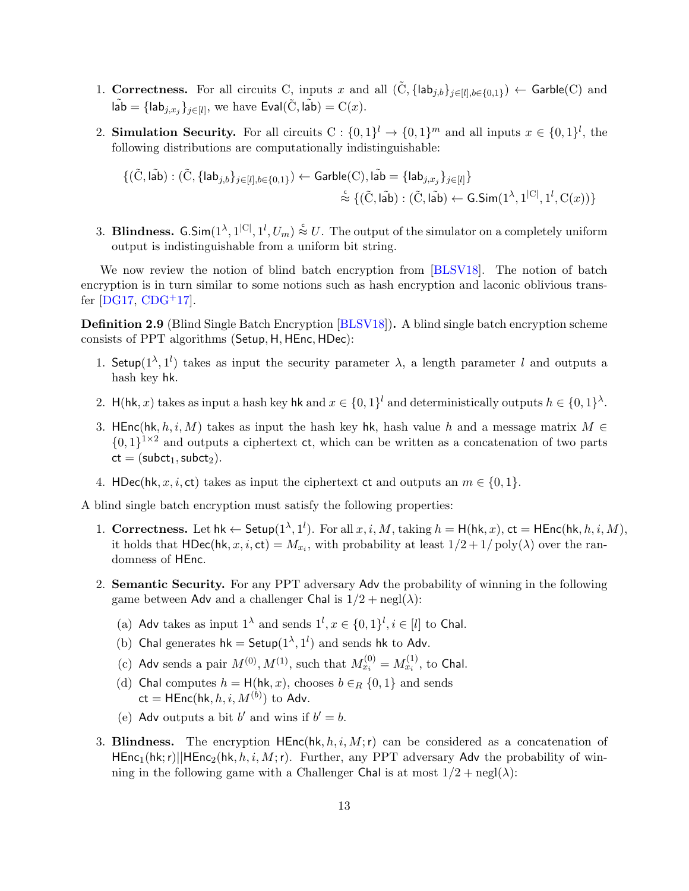- 1. Correctness. For all circuits C, inputs x and all  $(\tilde{C}, {\{\sf lab}_{j,b}\}_{j \in [l], b \in \{0,1\}}) \leftarrow$  Garble(C) and  $\tilde{\mathsf{lab}} = \{\mathsf{lab}_{j,x_j}\}_{j \in [l]},$  we have  $\mathsf{Eval}(\tilde{\mathsf{C}}, \tilde{\mathsf{lab}}) = \mathsf{C}(x).$
- 2. **Simulation Security.** For all circuits  $C: \{0,1\}^l \to \{0,1\}^m$  and all inputs  $x \in \{0,1\}^l$ , the following distributions are computationally indistinguishable:

$$
\{(\tilde{\mathbf{C}},\tilde{\mathsf{lab}}) : (\tilde{\mathbf{C}}, \{\mathsf{lab}_{j,b}\}_{j \in [l], b \in \{0,1\}}) \leftarrow \mathsf{Garble}(\mathbf{C}), \tilde{\mathsf{lab}} = \{\mathsf{lab}_{j,x_j}\}_{j \in [l]}\} \\
\stackrel{\mathsf{c}}{\approx} \{(\tilde{\mathbf{C}},\tilde{\mathsf{lab}}) : (\tilde{\mathbf{C}},\tilde{\mathsf{lab}}) \leftarrow \mathsf{G}.\mathsf{Sim}(1^\lambda,1^{|\mathbf{C}|},1^l,\mathbf{C}(x))\}
$$

3. Blindness.  $G.Sim(1^{\lambda}, 1^{|C|}, 1^l, U_m) \stackrel{c}{\approx} U$ . The output of the simulator on a completely uniform output is indistinguishable from a uniform bit string.

We now review the notion of blind batch encryption from [\[BLSV18\]](#page-27-4). The notion of batch encryption is in turn similar to some notions such as hash encryption and laconic oblivious transfer  $[DG17, CDG<sup>+</sup>17]$  $[DG17, CDG<sup>+</sup>17]$  $[DG17, CDG<sup>+</sup>17]$  $[DG17, CDG<sup>+</sup>17]$ .

<span id="page-12-0"></span>Definition 2.9 (Blind Single Batch Encryption [\[BLSV18\]](#page-27-4)). A blind single batch encryption scheme consists of PPT algorithms (Setup, H, HEnc, HDec):

- 1. Setup( $1^{\lambda}, 1^{l}$ ) takes as input the security parameter  $\lambda$ , a length parameter l and outputs a hash key hk.
- 2. H(hk, x) takes as input a hash key hk and  $x \in \{0,1\}^l$  and deterministically outputs  $h \in \{0,1\}^{\lambda}$ .
- 3. HEnc(hk, h, i, M) takes as input the hash key hk, hash value h and a message matrix  $M \in$  $\{0,1\}^{1\times2}$  and outputs a ciphertext ct, which can be written as a concatenation of two parts  $ct = (subct<sub>1</sub>,subct<sub>2</sub>).$
- 4. HDec(hk, x, i, ct) takes as input the ciphertext ct and outputs an  $m \in \{0, 1\}$ .

A blind single batch encryption must satisfy the following properties:

- 1. Correctness. Let  $hk \leftarrow$  Setup $(1^{\lambda}, 1^l)$ . For all  $x, i, M$ , taking  $h = H(hk, x)$ ,  $ct = HEnc(hk, h, i, M)$ , it holds that  $HDec(hk, x, i, ct) = M_{x_i}$ , with probability at least  $1/2 + 1/\text{poly}(\lambda)$  over the randomness of HEnc.
- 2. Semantic Security. For any PPT adversary Adv the probability of winning in the following game between Adv and a challenger Chal is  $1/2 + \text{negl}(\lambda)$ :
	- (a) Adv takes as input  $1^{\lambda}$  and sends  $1^{l}, x \in \{0, 1\}^{l}, i \in [l]$  to Chal.
	- (b) Chal generates  $hk =$  Setup $(1^{\lambda}, 1^{\lambda})$  and sends hk to Adv.
	- (c) Adv sends a pair  $M^{(0)}, M^{(1)}$ , such that  $M_{x_i}^{(0)} = M_{x_i}^{(1)}$ , to Chal.
	- (d) Chal computes  $h = H(hk, x)$ , chooses  $b \in_R \{0, 1\}$  and sends  $\mathsf{ct} = \mathsf{HEnc}(\mathsf{hk}, h, i, M^{(b)})$  to Adv.
	- (e) Adv outputs a bit b' and wins if  $b' = b$ .
- 3. Blindness. The encryption  $\text{HEnc}(\text{hk}, h, i, M; r)$  can be considered as a concatenation of  $HEnc<sub>1</sub>(hk; r)||HEnc<sub>2</sub>(hk; h, i, M; r)$ . Further, any PPT adversary Adv the probability of winning in the following game with a Challenger Chal is at most  $1/2 + \text{negl}(\lambda)$ :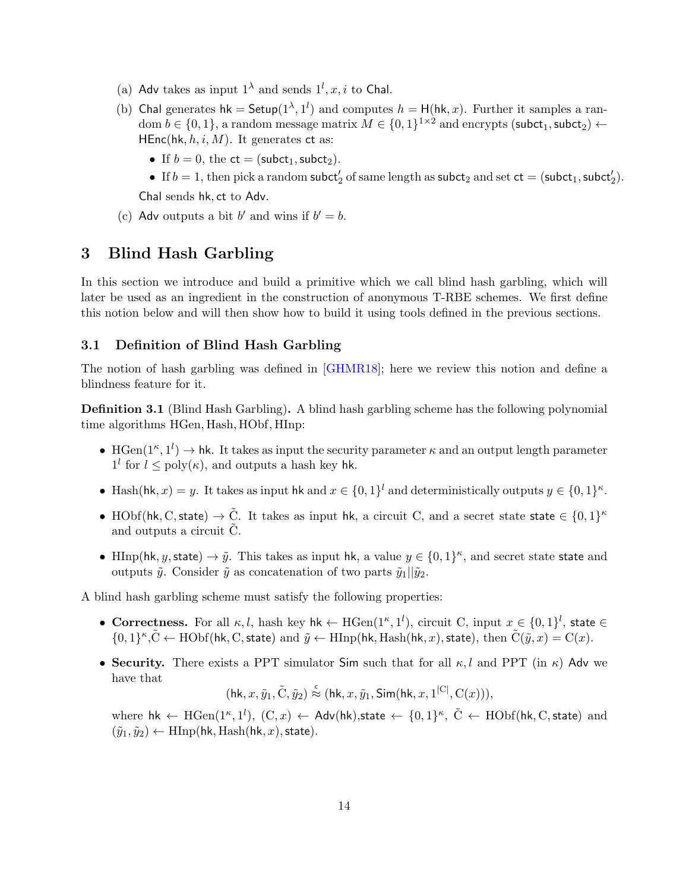- (a) Adv takes as input  $1^{\lambda}$  and sends  $1^{l}, x, i$  to Chal.
- (b) Chal generates  $hk =$  Setup $(1^{\lambda}, 1^l)$  and computes  $h = H(hk, x)$ . Further it samples a random  $b \in \{0, 1\}$ , a random message matrix  $M \in \{0, 1\}^{1 \times 2}$  and encrypts (subct<sub>1</sub>, subct<sub>2</sub>)  $\leftarrow$ HEnc(hk,  $h, i, M$ ). It generates ct as:
	- If  $b = 0$ , the  $ct = (subct<sub>1</sub>,subct<sub>2</sub>)$ .
	- If  $b = 1$ , then pick a random subct<sub>2</sub> of same length as subct<sub>2</sub> and set  $ct = (subct<sub>1</sub>,subct'<sub>2</sub>)$ .

Chal sends hk, ct to Adv.

(c) Adv outputs a bit b' and wins if  $b' = b$ .

## <span id="page-13-0"></span>3 Blind Hash Garbling

In this section we introduce and build a primitive which we call blind hash garbling, which will later be used as an ingredient in the construction of anonymous T-RBE schemes. We first define this notion below and will then show how to build it using tools defined in the previous sections.

#### <span id="page-13-1"></span>3.1 Definition of Blind Hash Garbling

The notion of hash garbling was defined in [\[GHMR18\]](#page-28-3); here we review this notion and define a blindness feature for it.

<span id="page-13-2"></span>Definition 3.1 (Blind Hash Garbling). A blind hash garbling scheme has the following polynomial time algorithms HGen, Hash, HObf, HInp:

- HGen( $1^{\kappa}, 1^l$ )  $\rightarrow$  hk. It takes as input the security parameter  $\kappa$  and an output length parameter  $1^{l}$  for  $l \leq \text{poly}(\kappa)$ , and outputs a hash key hk.
- Hash(hk, x) = y. It takes as input hk and  $x \in \{0,1\}^l$  and deterministically outputs  $y \in \{0,1\}^k$ .
- HObf(hk, C, state)  $\rightarrow \tilde{C}$ . It takes as input hk, a circuit C, and a secret state state  $\in \{0,1\}^{\kappa}$ and outputs a circuit  $\dot{C}$ .
- HInp(hk, y, state)  $\rightarrow \tilde{y}$ . This takes as input hk, a value  $y \in \{0,1\}^{\kappa}$ , and secret state state and outputs  $\tilde{y}$ . Consider  $\tilde{y}$  as concatenation of two parts  $\tilde{y}_1||\tilde{y}_2$ .

A blind hash garbling scheme must satisfy the following properties:

- Correctness. For all  $\kappa, l$ , hash key hk  $\leftarrow \text{HGen}(1^{\kappa}, 1^l)$ , circuit C, input  $x \in \{0, 1\}^l$ , state  $\in$  ${0,1}^{\kappa}, \tilde{C} \leftarrow \text{HObf}(\text{hk}, C, \text{state})$  and  $\tilde{y} \leftarrow \text{HInp}(\text{hk}, \text{Hash}(\text{hk}, x), \text{state})$ , then  $\tilde{C}(\tilde{y}, x) = C(x)$ .
- Security. There exists a PPT simulator Sim such that for all  $\kappa, l$  and PPT (in  $\kappa$ ) Adv we have that

 $(\mathsf{hk}, x, \tilde{y}_1, \tilde{\mathbf{C}}, \tilde{y}_2) \stackrel{\mathsf{c}}{\approx} (\mathsf{hk}, x, \tilde{y}_1, \mathsf{Sim}(\mathsf{hk}, x, 1^{\mathsf{|\mathbf{C}|}}, \mathbf{C}(x))),$ 

where  $hk \leftarrow \text{HGen}(1^{\kappa}, 1^l), (C, x) \leftarrow \text{Adv}(hk),$ state  $\leftarrow \{0, 1\}^{\kappa}, \tilde{C} \leftarrow \text{HObf}(hk, C, \text{state})$  and  $(\tilde{y}_1, \tilde{y}_2) \leftarrow \text{HInp(hk, Hash(hk, x), state)}.$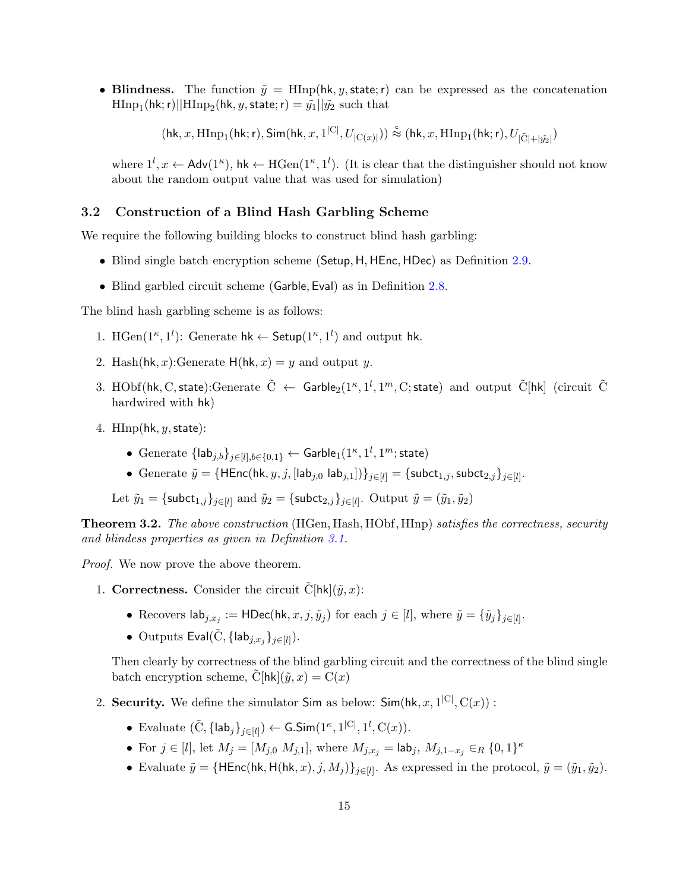• Blindness. The function  $\tilde{y} = \text{HInp}(hk, y, state; r)$  can be expressed as the concatenation  $\mathrm{HInp}_1(\mathsf{hk};\mathsf{r})||\mathrm{HInp}_2(\mathsf{hk},y,{\sf state};\mathsf{r})=\tilde{y_1}||\tilde{y_2}$  such that

 $(\textsf{hk}, x, \textsf{HInp}_1(\textsf{hk}; \textsf{r}), \textsf{Sim}(\textsf{hk}, x, 1^{|\textsf{C}|}, U_{|\textsf{C}(x)|})) \stackrel{\varsigma}{\approx} (\textsf{hk}, x, \textsf{HInp}_1(\textsf{hk}; \textsf{r}), U_{|\tilde{\textsf{C}}|+|\tilde{y_2}|})$ 

where  $1^l, x \leftarrow \text{Adv}(1^{\kappa}), \text{hk} \leftarrow \text{HGen}(1^{\kappa}, 1^l)$ . (It is clear that the distinguisher should not know about the random output value that was used for simulation)

#### <span id="page-14-0"></span>3.2 Construction of a Blind Hash Garbling Scheme

We require the following building blocks to construct blind hash garbling:

- Blind single batch encryption scheme (Setup, H, HEnc, HDec) as Definition [2.9.](#page-12-0)
- Blind garbled circuit scheme (Garble, Eval) as in Definition [2.8.](#page-11-1)

The blind hash garbling scheme is as follows:

- 1. HGen( $1^{\kappa}, 1^l$ ): Generate hk  $\leftarrow$  Setup( $1^{\kappa}, 1^l$ ) and output hk.
- 2. Hash(hk, x): Generate  $H(hk, x) = y$  and output y.
- 3. HObf(hk, C, state): $\rm{Generate}\;\; \tilde{C}\;\gets\;\sf{Garble}_2(1^\kappa,1^l,1^m,C; state)$  and  $\rm{output}\;\; \tilde{C}[hk]$  (circuit  $\tilde{C}$ hardwired with hk)
- 4.  $\text{HInp}(hk, y, state)$ :
	- Generate  $\{\mathsf{lab}_{j,b}\}_{j \in [l], b \in \{0,1\}} \leftarrow \mathsf{Garble}_1(1^{\kappa}, 1^l, 1^m; \mathsf{state})$
	- Generate  $\tilde{y} = \{\text{HEnc}(\text{hk}, y, j, [\text{lab}_{j,0} \text{ lab}_{j,1}])\}_{j \in [l]} = \{\text{subct}_{1,j}, \text{subct}_{2,j}\}_{j \in [l]}$ .

Let  $\tilde{y}_1 = \{\textsf{subct}_{1,j}\}_{j \in [l]}$  and  $\tilde{y}_2 = \{\textsf{subct}_{2,j}\}_{j \in [l]}$ . Output  $\tilde{y} = (\tilde{y}_1, \tilde{y}_2)$ 

**Theorem 3.2.** The above construction (HGen, Hash, HObf, HInp) satisfies the correctness, security and blindess properties as given in Definition [3.1.](#page-13-2)

Proof. We now prove the above theorem.

- 1. Correctness. Consider the circuit  $\tilde{C}[\hat{h}k](\tilde{y},x)$ :
	- Recovers  $\mathsf{lab}_{j,x_j} := \mathsf{HDec}(\mathsf{hk}, x, j, \tilde{y}_j)$  for each  $j \in [l],$  where  $\tilde{y} = \{\tilde{y}_j\}_{j \in [l]}$ .
	- Outputs Eval $(\tilde{C}, \{\mathsf{lab}_{j,x_j}\}_{j \in [l]})$ .

Then clearly by correctness of the blind garbling circuit and the correctness of the blind single batch encryption scheme,  $C[{\bf h}{\bf k}](\tilde{y},x) = C(x)$ 

- 2. Security. We define the simulator Sim as below:  $\textsf{Sim}(\textsf{hk}, x, 1^{|C|}, C(x))$ :
	- Evaluate  $(\tilde{C}, \{\mathsf{lab}_j\}_{j \in [l]}) \leftarrow \textsf{G}.\textsf{Sim}(1^{\kappa}, 1^{|C|}, 1^l, C(x)).$
	- For  $j \in [l]$ , let  $M_j = [M_{j,0} \ M_{j,1}]$ , where  $M_{j,x_j} = \mathsf{lab}_j$ ,  $M_{j,1-x_j} \in_R \{0,1\}^{\kappa}$
	- Evaluate  $\tilde{y} = \{\text{HEnc}(\text{hk}, \text{H}(\text{hk}, x), j, M_j)\}_{j \in [l]}$ . As expressed in the protocol,  $\tilde{y} = (\tilde{y}_1, \tilde{y}_2)$ .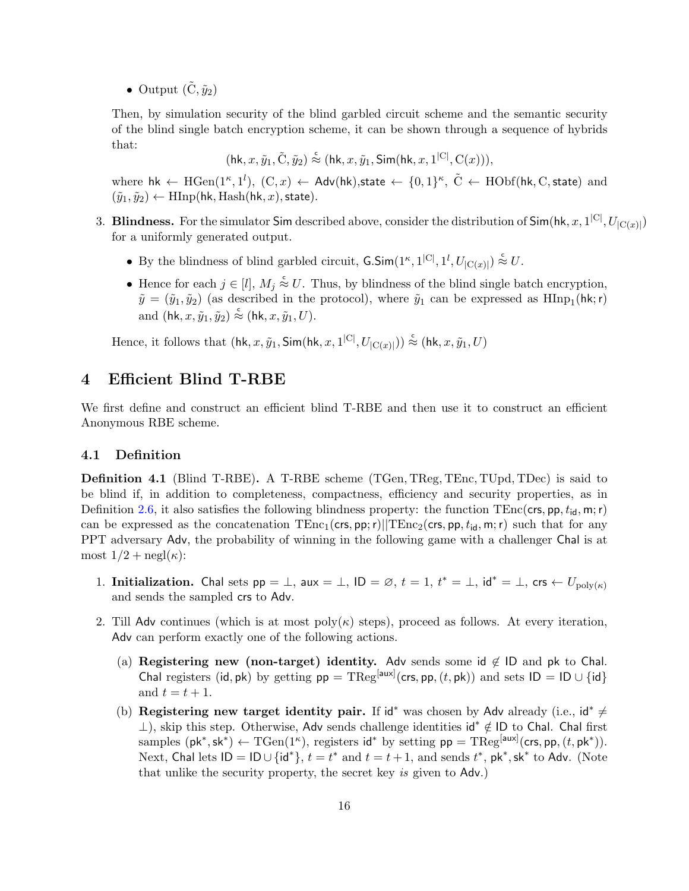• Output  $(\tilde{C}, \tilde{y}_2)$ 

Then, by simulation security of the blind garbled circuit scheme and the semantic security of the blind single batch encryption scheme, it can be shown through a sequence of hybrids that:

 $(\mathsf{hk}, x, \tilde{y}_1, \tilde{\mathbf{C}}, \tilde{y}_2) \stackrel{\mathsf{c}}{\approx} (\mathsf{hk}, x, \tilde{y}_1, \mathsf{Sim}(\mathsf{hk}, x, 1^{\vert \mathbf{C} \vert}, \mathbf{C}(x))),$ 

where  $hk \leftarrow \text{HGen}(1^{\kappa}, 1^l), (C, x) \leftarrow \text{Adv}(hk),$ state  $\leftarrow \{0, 1\}^{\kappa}, \tilde{C} \leftarrow \text{HObf}(hk, C, \text{state})$  and  $(\tilde{y}_1, \tilde{y}_2) \leftarrow \text{HInp}(\text{hk}, \text{Hash}(\text{hk}, x), \text{state}).$ 

- 3. Blindness. For the simulator Sim described above, consider the distribution of Sim(hk, x, 1<sup>|C|</sup>,  $U_{|C(x)|}$ ) for a uniformly generated output.
	- By the blindness of blind garbled circuit,  $\mathsf{G}.\mathsf{Sim}(1^{\kappa}, 1^{|C|}, 1^l, U_{|C(x)|}) \stackrel{\epsilon}{\approx} U.$
	- Hence for each  $j \in [l], M_j \stackrel{\epsilon}{\approx} U$ . Thus, by blindness of the blind single batch encryption,  $\tilde{y} = (\tilde{y}_1, \tilde{y}_2)$  (as described in the protocol), where  $\tilde{y}_1$  can be expressed as  $\text{HInp}_1(\mathsf{hk}; \mathsf{r})$ and  $(\mathsf{hk}, x, \tilde{y}_1, \tilde{y}_2) \overset{\mathsf{c}}{\approx} (\mathsf{hk}, x, \tilde{y}_1, U).$

Hence, it follows that  $(\mathsf{hk}, x, \tilde{y}_1, \mathsf{Sim}(\mathsf{hk}, x, 1^{|C|}, U_{|C(x)|})) \stackrel{\epsilon}{\approx} (\mathsf{hk}, x, \tilde{y}_1, U)$ 

## <span id="page-15-0"></span>4 Efficient Blind T-RBE

We first define and construct an efficient blind T-RBE and then use it to construct an efficient Anonymous RBE scheme.

#### <span id="page-15-1"></span>4.1 Definition

<span id="page-15-2"></span>Definition 4.1 (Blind T-RBE). A T-RBE scheme (TGen, TReg, TEnc, TUpd, TDec) is said to be blind if, in addition to completeness, compactness, efficiency and security properties, as in Definition [2.6,](#page-11-2) it also satisfies the following blindness property: the function TEnc(crs, pp,  $t_{\text{id}}$ , m;r) can be expressed as the concatenation  $\text{TEnc}_1(\text{crs}, \text{pp}; r)||\text{TEnc}_2(\text{crs}, \text{pp}, t_{\text{id}}, \text{m}; r)$  such that for any PPT adversary Adv, the probability of winning in the following game with a challenger Chal is at most  $1/2 + \text{negl}(\kappa)$ :

- 1. Initialization. Chal sets  $pp = \bot$ , aux  $= \bot$ , ID  $= \varnothing$ ,  $t = 1$ ,  $t^* = \bot$ , id<sup>\*</sup>  $= \bot$ , crs  $\leftarrow U_{poly(\kappa)}$ and sends the sampled crs to Adv.
- 2. Till Adv continues (which is at most  $\text{poly}(\kappa)$  steps), proceed as follows. At every iteration, Adv can perform exactly one of the following actions.
	- (a) Registering new (non-target) identity. Adv sends some id  $\notin$  ID and pk to Chal. Chal registers (id, pk) by getting  $pp = \text{TReg}^{[aux]}(cr, pp, (t, pk))$  and sets  $ID = ID \cup \{id\}$ and  $t = t + 1$ .
	- (b) Registering new target identity pair. If id<sup>\*</sup> was chosen by Adv already (i.e., id<sup>\*</sup>  $\neq$ ⊥), skip this step. Otherwise, Adv sends challenge identities id<sup>\*</sup>  $\notin$  ID to Chal. Chal first samples  $(\mathsf{pk}^*, \mathsf{sk}^*) \leftarrow \text{TGen}(1^{\kappa})$ , registers id<sup>\*</sup> by setting  $\mathsf{pp} = \text{TReg}^{[\text{aux}]}(\text{crs}, \mathsf{pp}, (t, \mathsf{pk}^*)$ . Next, Chal lets  $ID = ID \cup \{id^*\}, t = t^*$  and  $t = t + 1$ , and sends  $t^*$ ,  $pk^*$ ,  $sk^*$  to Adv. (Note that unlike the security property, the secret key is given to Adv.)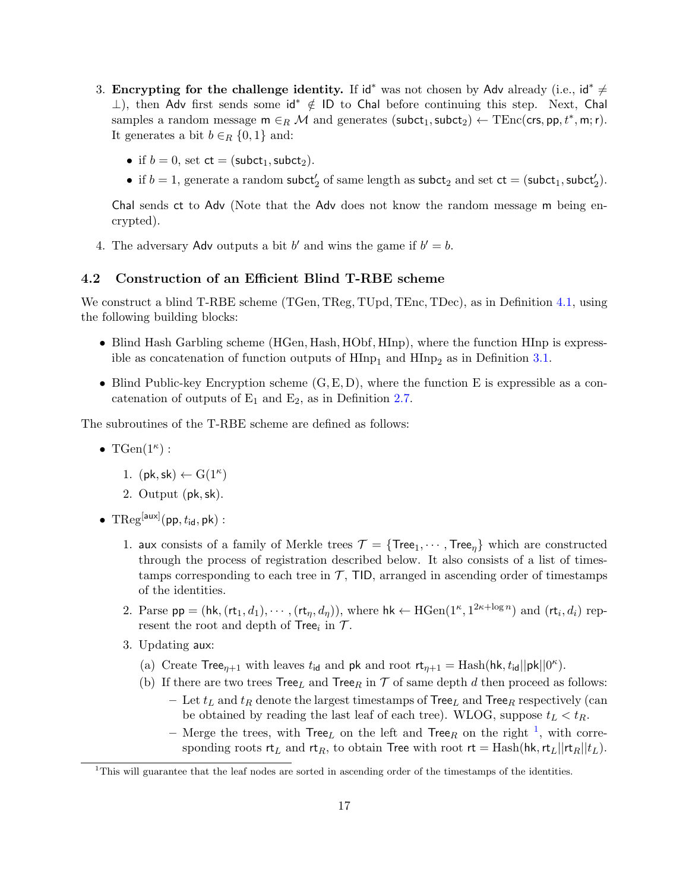- 3. Encrypting for the challenge identity. If id<sup>\*</sup> was not chosen by Adv already (i.e., id<sup>\*</sup>  $\neq$ ⊥), then Adv first sends some id<sup>\*</sup>  $\notin$  ID to Chal before continuing this step. Next, Chal samples a random message  $m \in_R \mathcal{M}$  and generates  $(\textsf{subct}_1, \textsf{subct}_2) \leftarrow \text{TEnc}(\textsf{crs}, \textsf{pp}, t^*, m; r)$ . It generates a bit  $b \in_R \{0, 1\}$  and:
	- if  $b = 0$ , set  $ct = (subct<sub>1</sub>,subct<sub>2</sub>)$ .
	- if  $b = 1$ , generate a random subct'<sub>2</sub> of same length as subct<sub>2</sub> and set  $ct = (subct<sub>1</sub>,subct'<sub>2</sub>)$ .

Chal sends ct to Adv (Note that the Adv does not know the random message m being encrypted).

4. The adversary Adv outputs a bit b' and wins the game if  $b' = b$ .

#### <span id="page-16-0"></span>4.2 Construction of an Efficient Blind T-RBE scheme

We construct a blind T-RBE scheme (TGen, TReg, TUpd, TEnc, TDec), as in Definition [4.1,](#page-15-2) using the following building blocks:

- Blind Hash Garbling scheme (HGen, Hash, HObf, HInp), where the function HInp is expressible as concatenation of function outputs of  $\text{HInp}_1$  and  $\text{HInp}_2$  as in Definition [3.1.](#page-13-2)
- Blind Public-key Encryption scheme  $(G, E, D)$ , where the function E is expressible as a concatenation of outputs of  $E_1$  and  $E_2$ , as in Definition [2.7.](#page-11-3)

The subroutines of the T-RBE scheme are defined as follows:

- T $Gen(1^{\kappa})$ :
	- 1.  $(\mathsf{pk}, \mathsf{sk}) \leftarrow G(1^{\kappa})$
	- 2. Output (pk,sk).
- $\bullet \ \mathrm{TReg}^{[\mathsf{aux}]}(\mathsf{pp},t_{\mathsf{id}},\mathsf{pk}) :$ 
	- 1. aux consists of a family of Merkle trees  $\mathcal{T} = \{ \text{Tree}_1, \cdots, \text{Tree}_n \}$  which are constructed through the process of registration described below. It also consists of a list of timestamps corresponding to each tree in  $\mathcal{T}$ , TID, arranged in ascending order of timestamps of the identities.
	- 2. Parse  $pp = (hk, (rt_1, d_1), \cdots, (rt_n, d_n))$ , where  $hk \leftarrow \text{HGen}(1^{\kappa}, 1^{2\kappa + \log n})$  and  $(rt_i, d_i)$  represent the root and depth of  $Tree_i$  in  $\mathcal{T}$ .
	- 3. Updating aux:
		- (a) Create Tree<sub>n+1</sub> with leaves  $t_{\text{id}}$  and pk and root  $rt_{\eta+1} = \text{Hash}(\text{hk}, t_{\text{id}} || \text{pk} || 0^{\kappa}).$
		- (b) If there are two trees  $\mathsf{Tree}_L$  and  $\mathsf{Tree}_R$  in  $\mathcal T$  of same depth d then proceed as follows: – Let  $t_L$  and  $t_R$  denote the largest timestamps of  $\text{Tree}_L$  and  $\text{Tree}_R$  respectively (can be obtained by reading the last leaf of each tree). WLOG, suppose  $t_L < t_R$ .
			- Merge the trees, with  $Tree_L$  on the left and  $Tree_R$  on the right <sup>[1](#page-16-1)</sup>, with corresponding roots  $rt_L$  and  $rt_R$ , to obtain Tree with root  $rt = Hash(hk, rt_L||rt_R||t_L)$ .

<span id="page-16-1"></span><sup>&</sup>lt;sup>1</sup>This will guarantee that the leaf nodes are sorted in ascending order of the timestamps of the identities.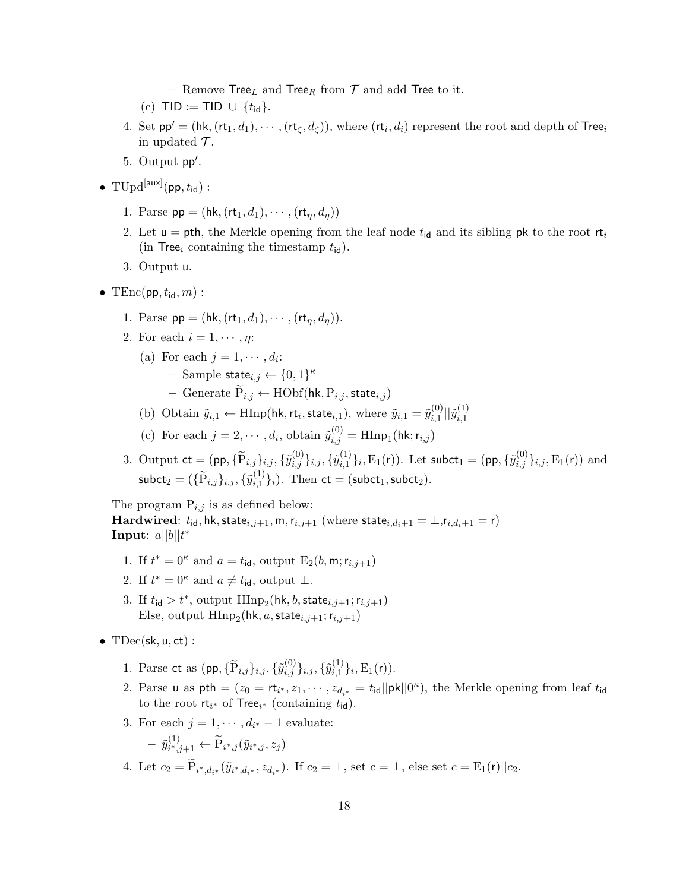– Remove Tree<sub>L</sub> and Tree<sub>R</sub> from  $\mathcal T$  and add Tree to it.

- (c) TID := TID ∪  $\{t_{\text{id}}\}.$
- 4. Set  $pp' = (hk, (rt_1, d_1), \cdots, (rt_{\zeta}, d_{\zeta}))$ , where  $(rt_i, d_i)$  represent the root and depth of Tree<sub>i</sub> in updated  $\mathcal{T}$ .
- 5. Output pp'.
- $\bullet \text{ TUpd}^{[\text{aux}]}(\textsf{pp},t_{\textsf{id}}):$ 
	- 1. Parse  $pp = (hk, (rt_1, d_1), \cdots, (rt_n, d_n))$
	- 2. Let  $u =$  pth, the Merkle opening from the leaf node  $t_{id}$  and its sibling pk to the root rt<sub>i</sub> (in Tree<sub>i</sub> containing the timestamp  $t_{\text{id}}$ ).
	- 3. Output u.
- TEnc(pp,  $t_{\text{id}}$ ,  $m$ ) :
	- 1. Parse  $pp = (hk, (rt_1, d_1), \cdots, (rt_n, d_n)).$
	- 2. For each  $i = 1, \cdots, n$ :
		- (a) For each  $j = 1, \dots, d_i$ :
			- $-$  Sample state<sub>i,j</sub>  $\leftarrow \{0,1\}^{\kappa}$
			- Generate  $\widetilde{P}_{i,j} \leftarrow \text{HObf}(\mathsf{hk}, P_{i,j}, \mathsf{state}_{i,j})$
		- (b) Obtain  $\tilde{y}_{i,1} \leftarrow \text{HInp}(\text{hk}, \text{rt}_i, \text{state}_{i,1}),$  where  $\tilde{y}_{i,1} = \tilde{y}_{i,1}^{(0)}$  $_{i,1}^{(0)}||\tilde{y}_{i,1}^{(1)}$  $_{i,1}$
		- (c) For each  $j = 2, \dots, d_i$ , obtain  $\tilde{y}_{i,j}^{(0)} = \text{HInp}_1(\mathsf{hk}; \mathsf{r}_{i,j})$
	- 3. Output  $ct = (pp, {\{\widetilde{P}_{i,j}\}_{i,j}}, {\{\widetilde{y}^{(0)}_{i,j}\}_{i,j}}, {\{\widetilde{y}^{(1)}_{i,1}\}})$  $\{^{(1)}_{i,1}\}_i,$   $\mathrm{E}_1(\mathsf{r})$ ). Let subct $_1 = (\mathsf{pp}, \{\tilde{y}^{(0)}_{i,j}\}_{i,j},$   $\mathrm{E}_1(\mathsf{r}))$  and  $\mathsf{subct}_2 = (\{\widetilde{\mathrm{P}}_{i,j}\}_{i,j}, \{\widetilde{y}^{(1)}_{i,1}$  $\{a_i^{(1)}\}_i$ ). Then  $ct = (subct<sub>1</sub>,subct<sub>2</sub>)$ .

The program  $P_{i,j}$  is as defined below: Hardwired:  $t_{\mathsf{id}},$  hk, state $_{i,j+1}$ , m,  $r_{i,j+1}$  (where state $_{i,d_i+1} = \bot, r_{i,d_i+1} = r$ ) Input:  $a||b||t^*$ 

- 1. If  $t^* = 0^{\kappa}$  and  $a = t_{\mathsf{id}},$  output  $E_2(b, \mathsf{m}; \mathsf{r}_{i,j+1})$
- 2. If  $t^* = 0^{\kappa}$  and  $a \neq t_{\text{id}}$ , output  $\perp$ .
- 3. If  $t_{\mathsf{id}} > t^*$ , output  $\mathrm{HInp}_2(\mathsf{hk}, b, \mathsf{state}_{i,j+1}; \mathsf{r}_{i,j+1})$ Else, output  $\mathrm{HInp}_2(\mathsf{hk}, a, \mathsf{state}_{i,j+1}; \mathsf{r}_{i,j+1})$
- $\text{Theo}(sk, u, ct)$ :
	- 1. Parse ct as  $(pp, {\{\widetilde{\mathbf{P}}}_{i,j}\}_{i,j}, {\{\widetilde{y}^{(0)}_{i,j}\}_{i,j}}, {\{\widetilde{y}^{(1)}_{i,1}\}}$  $\{e_{i,1}^{(1)}\}_i, \text{E}_1(r)$ ).
	- 2. Parse u as pth =  $(z_0 = rt_{i^*}, z_1, \dots, z_{d_{i^*}} = t_{\text{id}} ||pk||0^{\kappa}),$  the Merkle opening from leaf  $t_{\text{id}}$ to the root  $rt_{i^*}$  of Tree<sub>i\*</sub> (containing  $t_{\mathsf{id}}$ ).
	- 3. For each  $j = 1, \dots, d_{i^*} 1$  evaluate:

 $- \tilde{y}_{i^{*}}^{(1)}$  $\tilde{v}_{i^*,j+1}^{(1)} \leftarrow P_{i^*,j}(\tilde{y}_{i^*,j}, z_j)$ 

4. Let  $c_2 = P_{i^*,d_{i^*}}(\tilde{y}_{i^*,d_{i^*}}, z_{d_{i^*}})$ . If  $c_2 = \perp$ , set  $c = \perp$ , else set  $c = E_1(r)||c_2$ .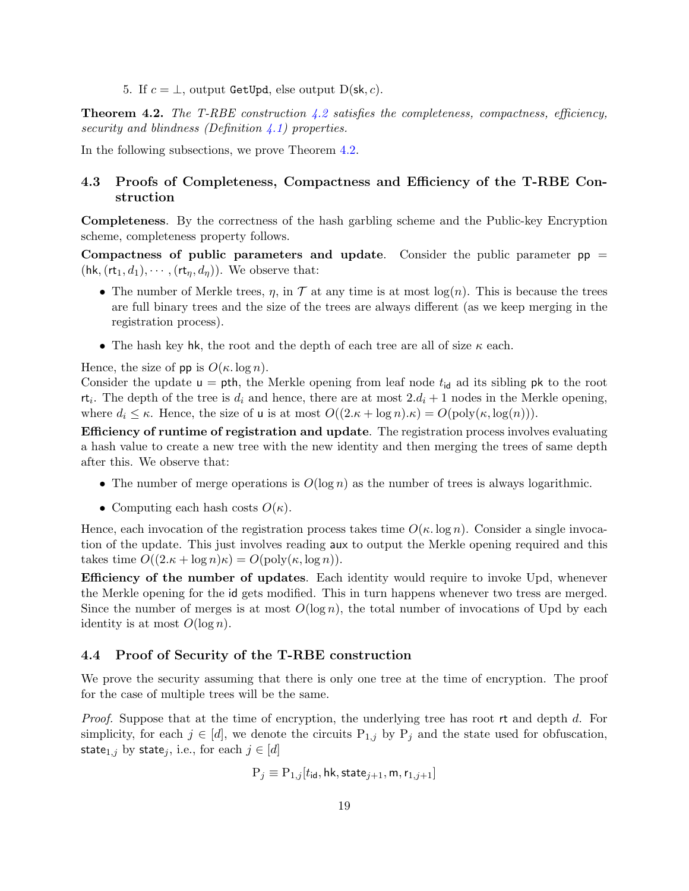5. If  $c = \perp$ , output GetUpd, else output D(sk, c).

<span id="page-18-2"></span>**Theorem [4.2](#page-16-0).** The T-RBE construction  $4.2$  satisfies the completeness, compactness, efficiency, security and blindness (Definition  $\angle(4.1)$  $\angle(4.1)$  properties.

In the following subsections, we prove Theorem [4.2.](#page-18-2)

### <span id="page-18-0"></span>4.3 Proofs of Completeness, Compactness and Efficiency of the T-RBE Construction

Completeness. By the correctness of the hash garbling scheme and the Public-key Encryption scheme, completeness property follows.

Compactness of public parameters and update. Consider the public parameter  $pp =$  $(hk, (rt_1, d_1), \cdots, (rt_n, d_n))$ . We observe that:

- The number of Merkle trees,  $\eta$ , in  $\mathcal T$  at any time is at most  $\log(n)$ . This is because the trees are full binary trees and the size of the trees are always different (as we keep merging in the registration process).
- The hash key hk, the root and the depth of each tree are all of size  $\kappa$  each.

Hence, the size of pp is  $O(\kappa \log n)$ .

Consider the update  $u = pth$ , the Merkle opening from leaf node  $t_{id}$  ad its sibling pk to the root rt<sub>i</sub>. The depth of the tree is  $d_i$  and hence, there are at most  $2.d_i + 1$  nodes in the Merkle opening, where  $d_i \leq \kappa$ . Hence, the size of u is at most  $O((2 \kappa + \log n) \kappa) = O(\text{poly}(\kappa, \log(n)))$ .

Efficiency of runtime of registration and update. The registration process involves evaluating a hash value to create a new tree with the new identity and then merging the trees of same depth after this. We observe that:

- The number of merge operations is  $O(\log n)$  as the number of trees is always logarithmic.
- Computing each hash costs  $O(\kappa)$ .

Hence, each invocation of the registration process takes time  $O(\kappa \log n)$ . Consider a single invocation of the update. This just involves reading aux to output the Merkle opening required and this takes time  $O((2 \kappa + \log n) \kappa) = O(\text{poly}(\kappa, \log n)).$ 

Efficiency of the number of updates. Each identity would require to invoke Upd, whenever the Merkle opening for the id gets modified. This in turn happens whenever two tress are merged. Since the number of merges is at most  $O(\log n)$ , the total number of invocations of Upd by each identity is at most  $O(\log n)$ .

#### <span id="page-18-1"></span>4.4 Proof of Security of the T-RBE construction

We prove the security assuming that there is only one tree at the time of encryption. The proof for the case of multiple trees will be the same.

*Proof.* Suppose that at the time of encryption, the underlying tree has root rt and depth d. For simplicity, for each  $j \in [d]$ , we denote the circuits  $P_{1,j}$  by  $P_j$  and the state used for obfuscation, state<sub>1,j</sub> by state<sub>j</sub>, i.e., for each  $j \in [d]$ 

$$
P_j \equiv P_{1,j}[t_{\mathsf{id}}, \mathsf{hk}, \mathsf{state}_{j+1}, \mathsf{m}, \mathsf{r}_{1,j+1}]
$$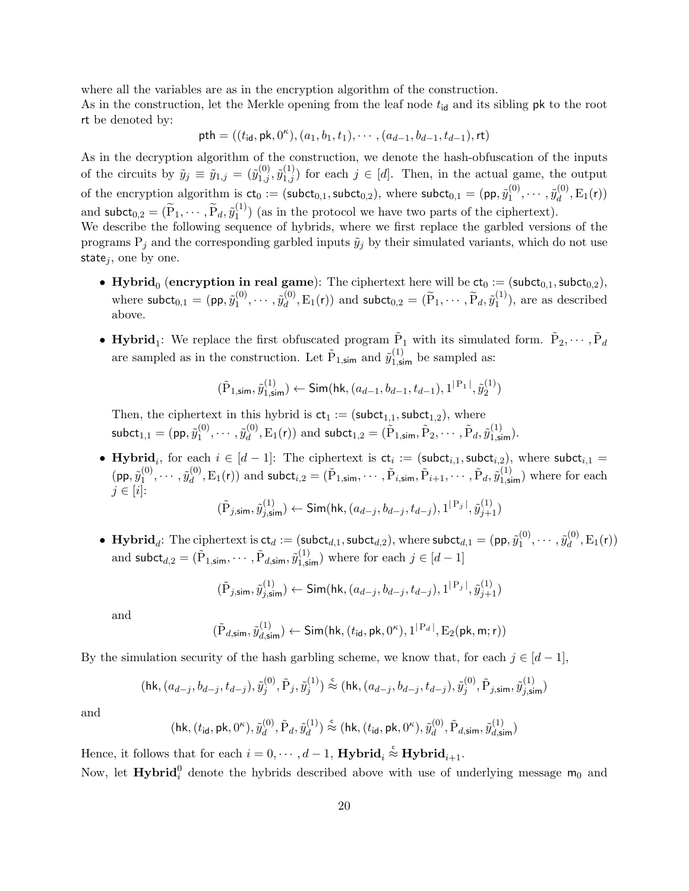where all the variables are as in the encryption algorithm of the construction.

As in the construction, let the Merkle opening from the leaf node  $t_{\text{id}}$  and its sibling pk to the root rt be denoted by:

$$
\mathsf{pth} = ((t_{\mathsf{id}}, \mathsf{pk}, 0^\kappa), (a_1, b_1, t_1), \cdots, (a_{d-1}, b_{d-1}, t_{d-1}), \mathsf{rt})
$$

As in the decryption algorithm of the construction, we denote the hash-obfuscation of the inputs of the circuits by  $\tilde{y}_j \equiv \tilde{y}_{1,j} = (\tilde{y}_{1,j}^{(0)}, \tilde{y}_{1,j}^{(1)})$  for each  $j \in [d]$ . Then, in the actual game, the output of the encryption algorithm is  $ct_0 := (\mathsf{subct}_{0,1}, \mathsf{subct}_{0,2}),$  where  $\mathsf{subct}_{0,1} = (\mathsf{pp}, \tilde{y}_1^{(0)})$  $\tilde{y}_{d}^{(0)}, \cdots, \tilde{y}_{d}^{(0)}$  $_{d}^{\left( 0\right) },\mathrm{E}_{1}(\mathsf{r}))$ and subct<sub>0,2</sub> =  $(\widetilde{P}_1, \cdots, \widetilde{P}_d, \widetilde{y}_1^{(1)})$  $1^{(1)}$  (as in the protocol we have two parts of the ciphertext).

We describe the following sequence of hybrids, where we first replace the garbled versions of the programs  $P_j$  and the corresponding garbled inputs  $\tilde{y}_j$  by their simulated variants, which do not use state<sub>j</sub>, one by one.

- Hybrid<sub>0</sub> (encryption in real game): The ciphertext here will be  $ct_0 := (subct_{0,1},subct_{0,2}),$ where  $\mathsf{subct}_{0,1} = (\mathsf{pp}, \tilde{y}_1^{(0)})$  $\tilde{y}_d^{(0)}, \cdots, \tilde{y}_d^{(0)}$  $\ddot{H}_d^{(0)}, \text{E}_1(\mathsf{r}))$  and subct<sub>0,2</sub> =  $(\widetilde{\text{P}}_1, \cdots, \widetilde{\text{P}}_d, \widetilde{y}_1^{(1)})$  $1^{(1)}$ , are as described above.
- **Hybrid**<sub>1</sub>: We replace the first obfuscated program  $\tilde{P}_1$  with its simulated form.  $\tilde{P}_2, \cdots, \tilde{P}_d$ are sampled as in the construction. Let  $\tilde{P}_{1,\text{sim}}$  and  $\tilde{y}_{1,\text{sim}}^{(1)}$  be sampled as:

$$
(\tilde{\mathbf{P}}_{1,\text{sim}}, \tilde{y}_{1,\text{sim}}^{(1)}) \leftarrow \text{Sim}(\text{hk}, (a_{d-1}, b_{d-1}, t_{d-1}), 1^{| \mathbf{P}_1 |}, \tilde{y}_2^{(1)})
$$

Then, the ciphertext in this hybrid is  $ct_1 := (subct_{1,1},subct_{1,2})$ , where  $\mathsf{subct}_{1,1} = (\mathsf{pp}, \tilde{y}_1^{(0)})$  $\tilde{y}_{d}^{(0)}, \cdots, \tilde{y}_{d}^{(0)}$  $d_d^{(0)}, E_1(r)$  and subct<sub>1,2</sub> = ( $\tilde{P}_{1,\text{sim}}, \tilde{P}_2, \cdots, \tilde{P}_d, \tilde{y}_{1,\text{sim}}^{(1)}$ ).

• **Hybrid**<sub>i</sub>, for each  $i \in [d-1]$ : The ciphertext is  $ct_i := (subct_{i,1},subct_{i,2})$ , where subct<sub>i,1</sub> =  $(pp,\tilde y_1^{(0)}$  $\widetilde{y}_d^{(0)}, \cdots, \widetilde{y}_d^{(0)}$  $\tilde{P}_{d}^{(0)}, \text{E}_{1}(\text{r}))$  and subct<sub>i,2</sub> = ( $\tilde{P}_{1,\textsf{sim}}, \cdots, \tilde{P}_{i,\textsf{sim}}, \tilde{P}_{i+1}, \cdots, \tilde{P}_{d}, \tilde{y}_{1,\textsf{sim}}^{(1)})$  where for each  $j \in [i]$ :

$$
(\tilde{\mathrm{P}}_{j,\text{sim}},\tilde{y}_{j,\text{sim}}^{(1)}) \gets \text{Sim}(\text{hk}, (a_{d-j},b_{d-j},t_{d-j}),1^{|\,\mathrm{P}_j\,|},\tilde{y}_{j+1}^{(1)})
$$

• Hybrid<sub>d</sub>: The ciphertext is  $ct_d := (\mathsf{subct}_{d,1}, \mathsf{subct}_{d,2}),$  where  $\mathsf{subct}_{d,1} = (\mathsf{pp}, \tilde{y}_1^{(0)}$  $\tilde{y}_d^{(0)},\cdots,\tilde{y}_d^{(0)}$  $d^{(0)}, E_1(r))$ and subct<sub>d,2</sub> = ( $\tilde{P}_{1,\text{sim}}, \cdots, \tilde{P}_{d,\text{sim}}, \tilde{y}_{1,\text{sim}}^{(1)}$ ) where for each  $j \in [d-1]$ 

$$
(\tilde{\mathrm{P}}_{j,\text{sim}},\tilde{y}_{j,\text{sim}}^{(1)}) \leftarrow \text{Sim}(\text{hk}, (a_{d-j},b_{d-j},t_{d-j}), 1^{\mid \mathrm{P}_j \mid}, \tilde{y}_{j+1}^{(1)})
$$

and

$$
(\tilde{\mathrm{P}}_{d,\mathsf{sim}}, \tilde{y}_{d,\mathsf{sim}}^{(1)}) \leftarrow \mathsf{Sim}(\mathsf{hk}, (t_{\mathsf{id}}, \mathsf{pk}, 0^\kappa), 1^{|\mathrm{P}_d|}, \mathrm{E}_2(\mathsf{pk}, \mathsf{m}; \mathsf{r}))
$$

By the simulation security of the hash garbling scheme, we know that, for each  $j \in [d-1]$ ,

$$
(\mathsf{hk}, (a_{d-j}, b_{d-j}, t_{d-j}), \tilde{y}_{j}^{(0)}, \tilde{P}_j, \tilde{y}_{j}^{(1)}) \stackrel{\mathsf{c}}{\approx} (\mathsf{hk}, (a_{d-j}, b_{d-j}, t_{d-j}), \tilde{y}_{j}^{(0)}, \tilde{P}_{j, \mathsf{sim}}, \tilde{y}_{j, \mathsf{sim}}^{(1)})
$$

and

(hk, 
$$
(t_{\mathsf{id}}, \mathsf{pk}, 0^{\kappa}), \tilde{y}_d^{(0)}, \tilde{P}_d, \tilde{y}_d^{(1)}) \approx (\mathsf{hk}, (t_{\mathsf{id}}, \mathsf{pk}, 0^{\kappa}), \tilde{y}_d^{(0)}, \tilde{P}_{d, \mathsf{sim}}, \tilde{y}_{d, \mathsf{sim}}^{(1)})
$$

Hence, it follows that for each  $i = 0, \dots, d - 1$ , **Hybrid**<sub>i</sub>  $\stackrel{c}{\approx}$  **Hybrid**<sub>i+1</sub>.

Now, let **Hybrid**<sup>0</sup> denote the hybrids described above with use of underlying message  $m_0$  and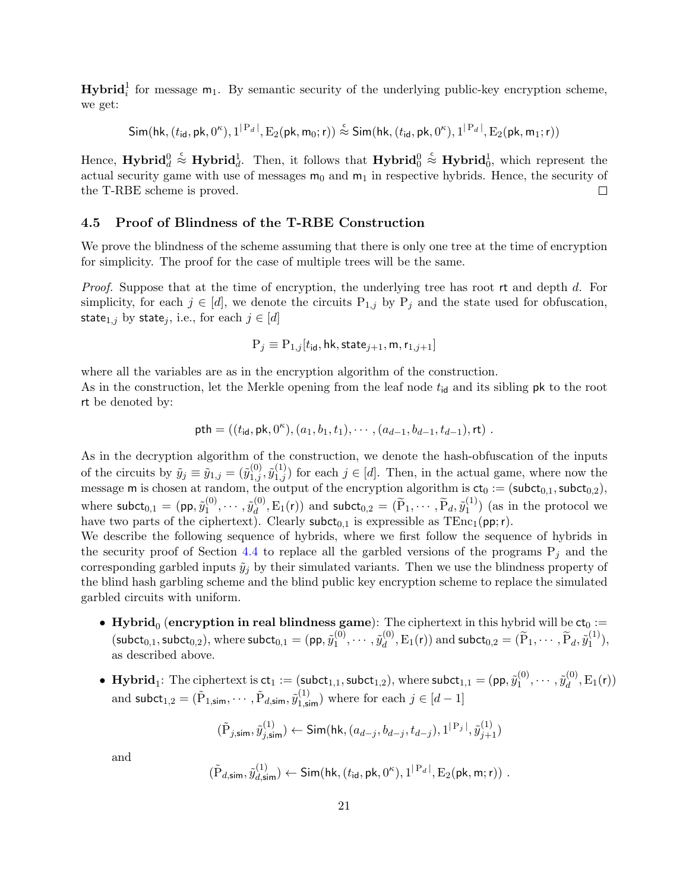**Hybrid**<sup>1</sup> for message  $m_1$ . By semantic security of the underlying public-key encryption scheme, we get:

 $\mathsf{Sim}(\mathsf{hk},(t_{\mathsf{id}}, \mathsf{pk}, 0^\kappa), 1^{|\operatorname{P}_d|}, \operatorname{E}_2(\mathsf{pk}, \mathsf{m}_0; \mathsf{r})) \stackrel{\epsilon}{\approx} \mathsf{Sim}(\mathsf{hk},(t_{\mathsf{id}}, \mathsf{pk}, 0^\kappa), 1^{|\operatorname{P}_d|}, \operatorname{E}_2(\mathsf{pk}, \mathsf{m}_1; \mathsf{r}))$ 

 $\stackrel{\scriptscriptstyle \circ}{\approx}$  **Hybrid**<sup>1</sup><sub>d</sub>. Then, it follows that **Hybrid**<sup>0</sup>  $\stackrel{\epsilon}{\approx}$  **Hybrid**<sup>1</sup><sub>0</sub>, which represent the Hence,  $\mathbf{Hybrid}_d^0$ actual security game with use of messages  $m_0$  and  $m_1$  in respective hybrids. Hence, the security of the T-RBE scheme is proved.  $\Box$ 

#### <span id="page-20-0"></span>4.5 Proof of Blindness of the T-RBE Construction

We prove the blindness of the scheme assuming that there is only one tree at the time of encryption for simplicity. The proof for the case of multiple trees will be the same.

Proof. Suppose that at the time of encryption, the underlying tree has root rt and depth d. For simplicity, for each  $j \in [d]$ , we denote the circuits  $P_{1,j}$  by  $P_j$  and the state used for obfuscation, state<sub>1,j</sub> by state<sub>j</sub>, i.e., for each  $j \in [d]$ 

$$
\mathrm{P}_j \equiv \mathrm{P}_{1,j}[t_{\mathsf{id}},\mathsf{hk},\mathsf{state}_{j+1},\mathsf{m},\mathsf{r}_{1,j+1}]
$$

where all the variables are as in the encryption algorithm of the construction. As in the construction, let the Merkle opening from the leaf node  $t_{\text{id}}$  and its sibling pk to the root rt be denoted by:

$$
\mathsf{pth} = ((t_{\mathsf{id}}, \mathsf{pk}, 0^{\kappa}), (a_1, b_1, t_1), \cdots, (a_{d-1}, b_{d-1}, t_{d-1}), \mathsf{rt}) \ .
$$

As in the decryption algorithm of the construction, we denote the hash-obfuscation of the inputs of the circuits by  $\tilde{y}_j \equiv \tilde{y}_{1,j} = (\tilde{y}_{1,j}^{(0)}, \tilde{y}_{1,j}^{(1)})$  for each  $j \in [d]$ . Then, in the actual game, where now the message m is chosen at random, the output of the encryption algorithm is  $ct_0 := (subct_{0,1},subct_{0,2}),$ where  $\mathsf{subct}_{0,1} = (\mathsf{pp}, \tilde{y}_1^{(0)})$  $\tilde{y}_d^{(0)}, \cdots, \tilde{y}_d^{(0)}$  $\ddot{H}_d^{(0)}, \text{E}_1(\mathsf{r}))$  and subct<sub>0,2</sub> =  $(\widetilde{\mathrm{P}}_1, \cdots, \widetilde{\mathrm{P}}_d, \widetilde{y}_1^{(1)})$  $\binom{1}{1}$  (as in the protocol we have two parts of the ciphertext). Clearly subct<sub>0.1</sub> is expressible as  $\text{TEnc}_1(\text{pp};r)$ .

We describe the following sequence of hybrids, where we first follow the sequence of hybrids in the security proof of Section [4.4](#page-18-1) to replace all the garbled versions of the programs  $P_i$  and the corresponding garbled inputs  $\tilde{y}_j$  by their simulated variants. Then we use the blindness property of the blind hash garbling scheme and the blind public key encryption scheme to replace the simulated garbled circuits with uniform.

- Hybrid<sub>0</sub> (encryption in real blindness game): The ciphertext in this hybrid will be  $ct_0 :=$ (subct<sub>0,1</sub>, subct<sub>0,2</sub>), where subct<sub>0,1</sub> = (pp,  $\tilde{y}^{(0)}_1$  $\tilde{y}_{d}^{(0)}, \cdots, \tilde{y}_{d}^{(0)}$  $\ddot{H}_d^{(0)}, \text{E}_1(\mathsf{r}))$  and  $\textsf{subct}_{0,2} = (\widetilde{\text{P}}_1, \cdots, \widetilde{\text{P}}_d, \widetilde{y}_1^{(1)})$  $\binom{1}{1}$ , as described above.
- $\bullet \;\; {\rm Hybrid_1:}\; {\rm The}\; {\rm ciphertext}\; {\rm is}\; {\rm ct}_1:=(\mathsf{subct}_{1,1},\mathsf{subct}_{1,2}), \text{where}\; {\rm subct}_{1,1}=(\mathsf{pp}, \tilde{y}_1^{(0)})$  $\tilde{y}_d^{(0)}, \cdots, \tilde{y}_d^{(0)}$  $d^{(0)}, E_1(r))$ and  $\mathsf{subct}_{1,2} = (\tilde{\mathrm{P}}_{1,\mathsf{sim}}, \cdots, \tilde{\mathrm{P}}_{d,\mathsf{sim}}, \tilde{y}_{1,\mathsf{sim}}^{(1)})$  where for each  $j \in [d-1]$

$$
(\tilde{\mathrm{P}}_{j,\mathsf{sim}},\tilde{y}_{j,\mathsf{sim}}^{(1)}) \leftarrow \mathsf{Sim}(\mathsf{hk}, (a_{d-j},b_{d-j},t_{d-j}), 1^{\lfloor \mathsf{P}_j \rfloor}, \tilde{y}_{j+1}^{(1)})
$$

and

$$
(\tilde{\mathrm{P}}_{d,\mathsf{sim}}, \tilde{y}_{d,\mathsf{sim}}^{(1)}) \leftarrow \mathsf{Sim}(\mathsf{hk}, (t_{\mathsf{id}}, \mathsf{pk}, 0^\kappa), 1^{|\mathrm{P}_d|}, \mathrm{E}_2(\mathsf{pk}, \mathsf{m}; \mathsf{r}))\ .
$$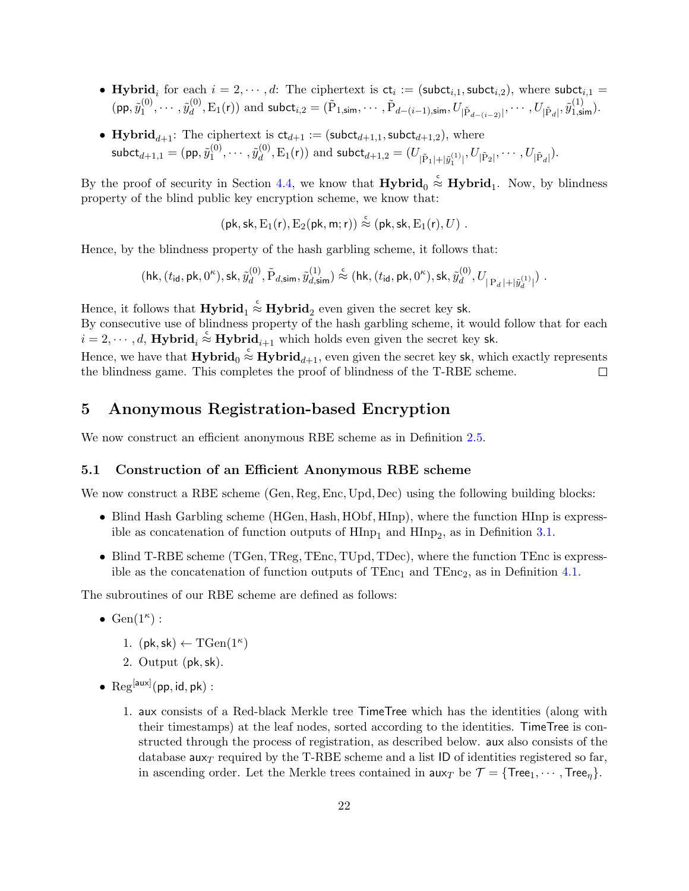- **Hybrid**<sub>i</sub> for each  $i = 2, \dots, d$ : The ciphertext is  $ct_i := (subct_{i,1}, subct_{i,2}),$  where  $subct_{i,1}$  =  $(pp,\tilde y_1^{(0)}$  $\widetilde{y}_d^{(0)}, \cdots, \widetilde{y}_d^{(0)}$  $d^{(0)}, \text{E}_1(\text{r})) \text{ and } \textsf{subct}_{i,2} = (\tilde{\text{P}}_{1,\textsf{sim}}, \cdots, \tilde{\text{P}}_{d-(i-1),\textsf{sim}}, U_{|\tilde{\text{P}}_{d}-(i-2)}|, \cdots, U_{|\tilde{\text{P}}_{d}|}, \tilde{y}^{(1)}_{1,\textsf{sim}}).$
- **Hybrid**<sub>d+1</sub>: The ciphertext is  $ct_{d+1} := (\text{subct}_{d+1,1}, \text{subct}_{d+1,2}),$  where  $\mathsf{subct}_{d+1,1} = (\mathsf{pp}, \tilde{y}_1^{(0)})$  $\tilde{y}_d^{(0)},\cdots,\tilde{y}_d^{(0)}$  $\mathcal{U}_d^{(0)}, \mathrm{E}_1(\mathsf{r}))$  and  $\mathsf{subct}_{d+1,2} = (U_{|\tilde{\mathrm{P}}_1|+|\tilde{y}_1^{(1)}|}, U_{|\tilde{\mathrm{P}}_2|}, \cdots, U_{|\tilde{\mathrm{P}}_d|}).$

By the proof of security in Section [4.4,](#page-18-1) we know that  $\textbf{Hybrid}_0 \overset{c}{\approx} \textbf{Hybrid}_1$ . Now, by blindness property of the blind public key encryption scheme, we know that:

$$
(\mathsf{pk},\mathsf{sk},\mathrm{E}_1(\mathsf{r}),\mathrm{E}_2(\mathsf{pk},\mathsf{m};\mathsf{r}))\stackrel{\mathsf{c}}{\approx}(\mathsf{pk},\mathsf{sk},\mathrm{E}_1(\mathsf{r}),U)\ .
$$

Hence, by the blindness property of the hash garbling scheme, it follows that:

$$
(\text{hk}, (t_{\text{id}}, \text{pk}, 0^{\kappa}), \text{sk}, \tilde{y}_d^{(0)}, \tilde{P}_{d, \text{sim}}, \tilde{y}_{d, \text{sim}}^{(1)}) \stackrel{\epsilon}{\approx} (\text{hk}, (t_{\text{id}}, \text{pk}, 0^{\kappa}), \text{sk}, \tilde{y}_d^{(0)}, U_{\lfloor \text{P}_d \rfloor + |\tilde{y}_d^{(1)}|})
$$

Hence, it follows that  $\textbf{Hybrid}_1 \overset{c}{\approx} \textbf{Hybrid}_2$  even given the secret key sk.

By consecutive use of blindness property of the hash garbling scheme, it would follow that for each  $i = 2, \dots, d$ , **Hybrid**<sub> $i \approx$ </sub> **Hybrid**<sub> $i+1$ </sub> which holds even given the secret key sk.

Hence, we have that  $\textbf{Hybrid}_{0} \overset{\mathtt{c}}{\approx} \textbf{Hybrid}_{d+1},$  even given the secret key sk, which exactly represents the blindness game. This completes the proof of blindness of the T-RBE scheme.  $\Box$ 

## <span id="page-21-0"></span>5 Anonymous Registration-based Encryption

We now construct an efficient anonymous RBE scheme as in Definition [2.5.](#page-10-3)

#### <span id="page-21-1"></span>5.1 Construction of an Efficient Anonymous RBE scheme

We now construct a RBE scheme (Gen, Reg, Enc, Upd, Dec) using the following building blocks:

- Blind Hash Garbling scheme (HGen, Hash, HObf, HInp), where the function HInp is expressible as concatenation of function outputs of  $\text{HInp}_1$  and  $\text{HInp}_2$ , as in Definition [3.1.](#page-13-2)
- Blind T-RBE scheme (TGen, TReg, TEnc, TUpd, TDec), where the function TEnc is expressible as the concatenation of function outputs of  $\text{TEnc}_1$  and  $\text{TEnc}_2$ , as in Definition [4.1.](#page-15-2)

The subroutines of our RBE scheme are defined as follows:

- $Gen(1^{\kappa})$ :
	- 1.  $(\mathsf{pk}, \mathsf{sk}) \leftarrow \mathrm{TGen}(1^{\kappa})$
	- 2. Output (pk,sk).
- $\text{Reg}^{[aux]}(pp, id, pk)$ :
	- 1. aux consists of a Red-black Merkle tree TimeTree which has the identities (along with their timestamps) at the leaf nodes, sorted according to the identities. TimeTree is constructed through the process of registration, as described below. aux also consists of the database aux<sub>T</sub> required by the T-RBE scheme and a list ID of identities registered so far, in ascending order. Let the Merkle trees contained in  $aux_T$  be  $\mathcal{T} = \{Tree_1, \dots, Tree_n\}.$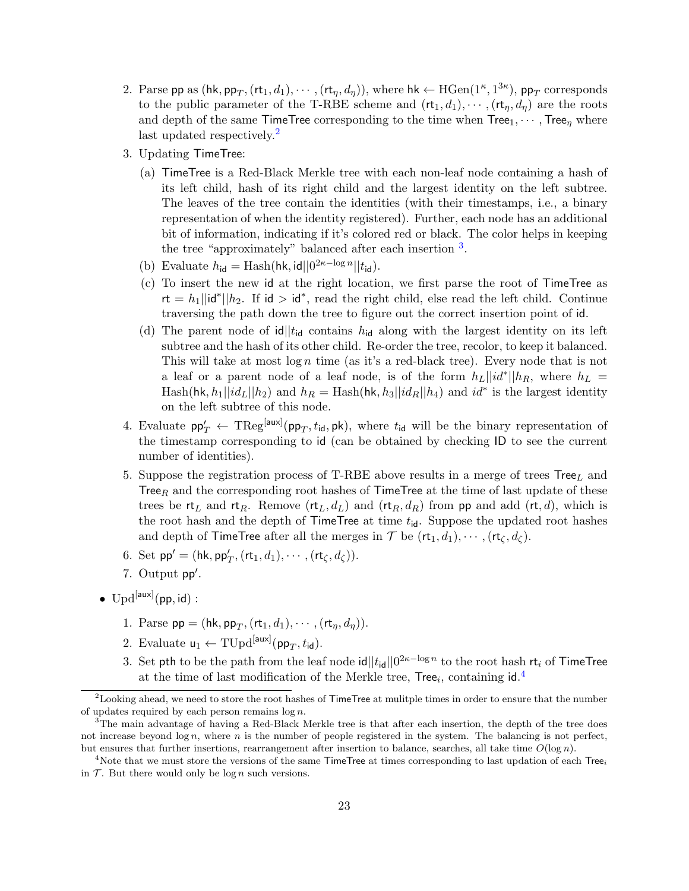- 2. Parse pp as  $(\textsf{hk}, \textsf{pp}_T, (\textsf{rt}_1, d_1), \cdots, (\textsf{rt}_\eta, d_\eta)),$  where  $\textsf{hk} \leftarrow \text{HGen}(1^{\kappa}, 1^{3\kappa}),$  pp $_T$  corresponds to the public parameter of the T-RBE scheme and  $(\mathsf{rt}_1, d_1), \cdots, (\mathsf{rt}_n, d_n)$  are the roots and depth of the same TimeTree corresponding to the time when  $Tree_1, \dots, Tree_n$  where last updated respectively.<sup>[2](#page-22-0)</sup>
- 3. Updating TimeTree:
	- (a) TimeTree is a Red-Black Merkle tree with each non-leaf node containing a hash of its left child, hash of its right child and the largest identity on the left subtree. The leaves of the tree contain the identities (with their timestamps, i.e., a binary representation of when the identity registered). Further, each node has an additional bit of information, indicating if it's colored red or black. The color helps in keeping the tree "approximately" balanced after each insertion  $3$ .
	- (b) Evaluate  $h_{\mathsf{id}} = \text{Hash}(\mathsf{hk}, \mathsf{id}||0^{2\kappa \log n}||t_{\mathsf{id}}).$
	- (c) To insert the new id at the right location, we first parse the root of TimeTree as  $r\mathsf{t} = h_1 || \mathsf{id}^* || h_2$ . If  $\mathsf{id} > \mathsf{id}^*$ , read the right child, else read the left child. Continue traversing the path down the tree to figure out the correct insertion point of id.
	- (d) The parent node of id  $|t_{\rm id}|$  contains  $h_{\rm id}$  along with the largest identity on its left subtree and the hash of its other child. Re-order the tree, recolor, to keep it balanced. This will take at most  $\log n$  time (as it's a red-black tree). Every node that is not a leaf or a parent node of a leaf node, is of the form  $h_L||id^*||h_R$ , where  $h_L =$ Hash(hk,  $h_1||id_L||h_2$ ) and  $h_R =$  Hash(hk,  $h_3||id_R||h_4$ ) and  $id^*$  is the largest identity on the left subtree of this node.
- 4. Evaluate  $pp'_T \leftarrow \text{TReg}^{[aux]}(pp_T, t_{id}, pk)$ , where  $t_{id}$  will be the binary representation of the timestamp corresponding to id (can be obtained by checking ID to see the current number of identities).
- 5. Suppose the registration process of T-RBE above results in a merge of trees  $Tree<sub>L</sub>$  and Tree<sub>R</sub> and the corresponding root hashes of TimeTree at the time of last update of these trees be rt<sub>L</sub> and rt<sub>R</sub>. Remove  $(\mathsf{rt}_L, d_L)$  and  $(\mathsf{rt}_R, d_R)$  from pp and add  $(\mathsf{rt}, d)$ , which is the root hash and the depth of  $\overline{\text{TimeTree}}$  at time  $t_{\text{id}}$ . Suppose the updated root hashes and depth of TimeTree after all the merges in  $\mathcal T$  be  $(\mathsf{rt}_1, d_1), \cdots, (\mathsf{rt}_\mathcal{C}, d_\mathcal{C})$ .
- 6. Set  $pp' = (hk, pp'_T, (rt_1, d_1), \cdots, (rt_{\zeta}, d_{\zeta})).$
- 7. Output pp'.
- $\bullet$  Upd<sup>[aux]</sup>(pp, id):
	- 1. Parse  $pp = (hk, pp_T, (rt_1, d_1), \cdots, (rt_{\eta}, d_{\eta})).$
	- 2. Evaluate  $u_1 \leftarrow \text{TUpd}^{[\text{aux}]}(\text{pp}_T, t_{\text{id}}).$
	- 3. Set pth to be the path from the leaf node  $\frac{d}{t_{\text{id}}}{|0^{2\kappa-\log n}}$  to the root hash  $\mathsf{rt}_i$  of TimeTree at the time of last modification of the Merkle tree,  $Tree_i$ , containing id.<sup>[4](#page-22-2)</sup>

<span id="page-22-0"></span> $2$ Looking ahead, we need to store the root hashes of TimeTree at mulitple times in order to ensure that the number of updates required by each person remains  $log n$ .

<span id="page-22-1"></span><sup>&</sup>lt;sup>3</sup>The main advantage of having a Red-Black Merkle tree is that after each insertion, the depth of the tree does not increase beyond  $\log n$ , where n is the number of people registered in the system. The balancing is not perfect, but ensures that further insertions, rearrangement after insertion to balance, searches, all take time  $O(\log n)$ .

<span id="page-22-2"></span><sup>&</sup>lt;sup>4</sup>Note that we must store the versions of the same  $TimeTree$  at times corresponding to last updation of each  $Tree_i$ in  $\mathcal T$ . But there would only be log n such versions.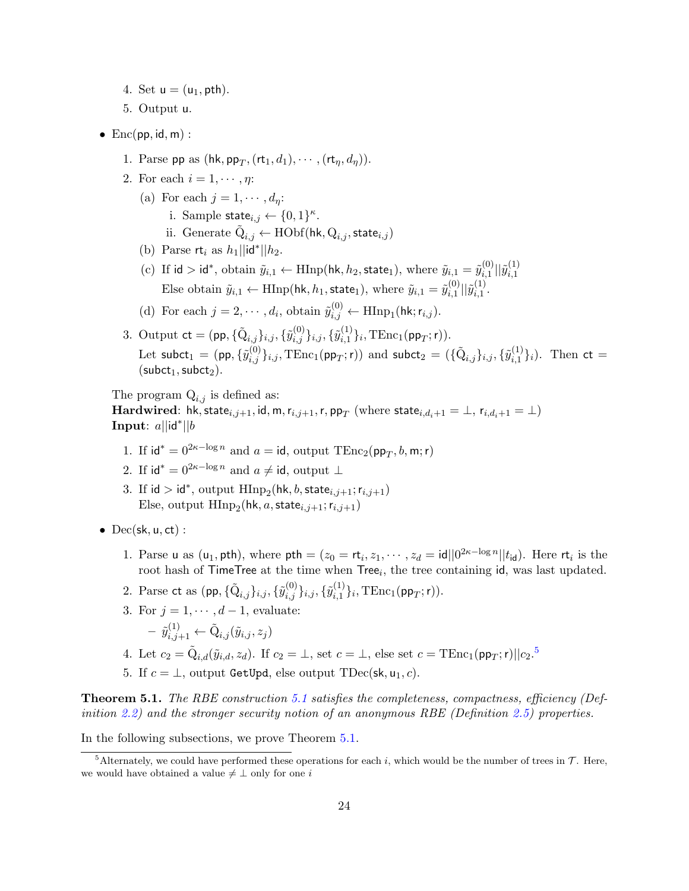- 4. Set  $u = (u_1, \text{pth})$ .
- 5. Output u.
- $Enc(pp, id, m)$ :
	- 1. Parse pp as  $(\mathsf{hk}, \mathsf{pp}_T, (\mathsf{rt}_1, d_1), \cdots, (\mathsf{rt}_\eta, d_\eta)).$
	- 2. For each  $i = 1, \cdots, n$ :
		- (a) For each  $j = 1, \cdots, d_n$ : i. Sample state $i,j \leftarrow \{0,1\}^{\kappa}$ . ii. Generate  $\tilde{\mathrm{Q}}_{i,j} \leftarrow \mathrm{HObf}(\mathsf{hk}, \mathrm{Q}_{i,j}, \mathsf{state}_{i,j})$
		- (b) Parse  $rt_i$  as  $h_1$ ||id<sup>\*</sup>|| $h_2$ .
		- (c) If id > id<sup>\*</sup>, obtain  $\tilde{y}_{i,1} \leftarrow \text{HInp}(\text{hk}, h_2, \text{state}_1),$  where  $\tilde{y}_{i,1} = \tilde{y}_{i,1}^{(0)}$  $_{i,1}^{(0)}||\tilde{y}_{i,1}^{(1)}$  $_{i,1}$ Else obtain  $\tilde{y}_{i,1} \leftarrow \text{HInp}(\textsf{hk}, h_1, \textsf{state}_1),$  where  $\tilde{y}_{i,1} = \tilde{y}^{(0)}_{i,1}$  $\|\tilde{y}^{(1)}_{i,1}\|$  $\binom{1}{i,1}$ .
		- (d) For each  $j = 2, \dots, d_i$ , obtain  $\tilde{y}_{i,j}^{(0)} \leftarrow \text{HInp}_1(\mathsf{hk}; \mathsf{r}_{i,j}).$
	- 3. Output  $ct = (pp, \{\tilde{\mathrm{Q}}_{i,j}\}_{i,j}, \{\tilde{y}^{(0)}_{i,j}\}_{i,j}, \{\tilde{y}^{(1)}_{i,1}\}_{i,j})$  $\{i,1\atop i,1}$  ; TEnc<sub>1</sub>(pp<sub>T</sub>; r)). Let  $\mathsf{subct}_1 = (\mathsf{pp}, \{\tilde{y}^{(0)}_{i,j}\}_{i,j}, \mathrm{TEnc}_1(\mathsf{pp}_T; \mathsf{r}))$  and  $\mathsf{subct}_2 = (\{\tilde{\mathrm{Q}}_{i,j}\}_{i,j}, \{\tilde{y}^{(1)}_{i,1}\}_{i,j})$  $\{a,1\}\}$ <sub>i</sub>). Then **ct** =  $(subct<sub>1</sub>, subtct<sub>2</sub>).$

The program  $Q_{i,j}$  is defined as:  ${\bf Hardwired:}$   ${\sf hk}, {\sf state}_{i,j+1}, {\sf id}, {\sf m}, {\sf r}_{i,j+1}, {\sf r}, {\sf pp}_T$   $({\sf where~state}_{i,d_i+1}=\bot,$   ${\sf r}_{i,d_i+1}=\bot)$ Input:  $a||id^*||b$ 

- 1. If  $\mathsf{id}^* = 0^{2\kappa \log n}$  and  $a = \mathsf{id}$ , output  $\mathrm{TEnc}_2(\mathsf{pp}_T, b, \mathsf{m}; \mathsf{r})$
- 2. If  $\mathsf{id}^* = 0^{2\kappa \log n}$  and  $a \neq \mathsf{id}$ , output  $\perp$
- 3. If  $id > id^*$ , output  $\text{HInp}_2(hk, b, \text{state}_{i,j+1}; r_{i,j+1})$ Else, output  $\mathrm{HInp}_2(\mathsf{hk}, a, \mathsf{state}_{i,j+1}; \mathsf{r}_{i,j+1})$
- $Dec(\mathsf{sk}, \mathsf{u}, \mathsf{ct})$ :
	- 1. Parse u as  $(u_1, \text{pth})$ , where  $\text{pth} = (z_0 = rt_i, z_1, \dots, z_d = id||0^{2\kappa \log n}||t_{id})$ . Here  $rt_i$  is the root hash of  $\textsf{TimeTree}$  at the time when  $\textsf{Tree}_i$ , the tree containing id, was last updated.
	- 2. Parse ct as  $(pp, \{\tilde{\mathrm{Q}}_{i,j}\}_{i,j}, \{\tilde{y}^{(0)}_{i,j}\}_{i,j}, \{\tilde{y}^{(1)}_{i,1}\}$  $\{i,1\atop i,1}\}_i,$   $\mathrm{TEnc}_1(\mathsf{pp}_T;\mathsf{r})).$
	- 3. For  $j = 1, \dots, d 1$ , evaluate:

$$
- \ \tilde{y}_{i,j+1}^{(1)} \leftarrow \tilde{\mathrm{Q}}_{i,j}(\tilde{y}_{i,j},z_j)
$$

- 4. Let  $c_2 = \tilde{Q}_{i,d}(\tilde{y}_{i,d}, z_d)$ . If  $c_2 = \perp$ , set  $c = \perp$ , else set  $c = \text{TEnc}_1(\text{pp}_T; r) ||c_2$ .<sup>[5](#page-23-0)</sup>
- 5. If  $c = \perp$ , output GetUpd, else output TDec(sk,  $u_1, c$ ).

<span id="page-23-1"></span>Theorem 5.1. The RBE construction [5.1](#page-21-1) satisfies the completeness, compactness, efficiency (Definition [2.2\)](#page-9-1) and the stronger security notion of an anonymous RBE (Definition [2.5\)](#page-10-3) properties.

In the following subsections, we prove Theorem [5.1.](#page-23-1)

<span id="page-23-0"></span><sup>&</sup>lt;sup>5</sup>Alternately, we could have performed these operations for each i, which would be the number of trees in  $\mathcal{T}$ . Here, we would have obtained a value  $\neq \bot$  only for one i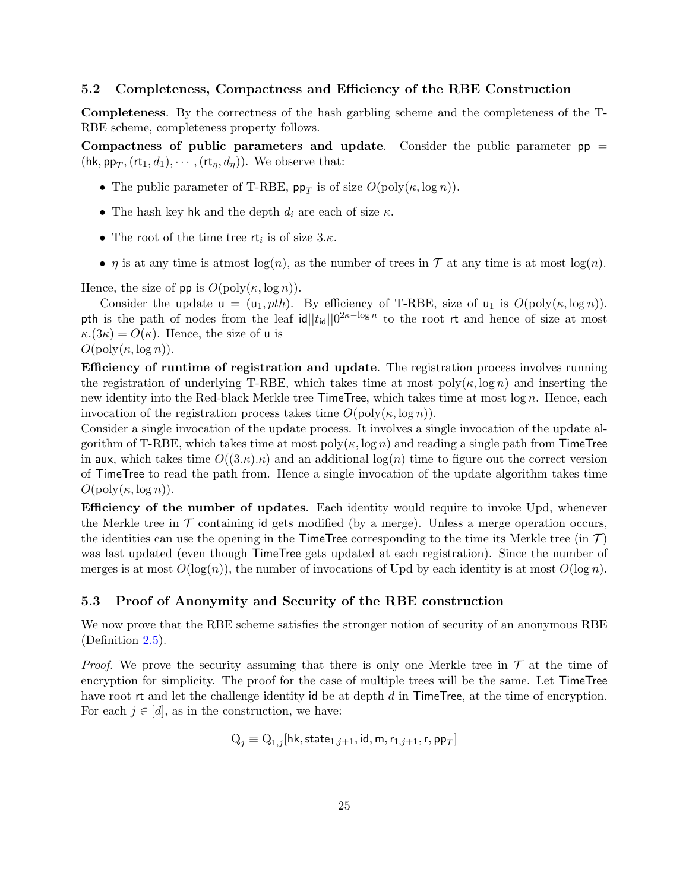#### <span id="page-24-0"></span>5.2 Completeness, Compactness and Efficiency of the RBE Construction

Completeness. By the correctness of the hash garbling scheme and the completeness of the T-RBE scheme, completeness property follows.

Compactness of public parameters and update. Consider the public parameter pp =  $(hk, pp_T, (rt_1, d_1), \cdots, (rt_\eta, d_\eta)).$  We observe that:

- The public parameter of T-RBE,  $pp_T$  is of size  $O(poly(\kappa, \log n))$ .
- The hash key hk and the depth  $d_i$  are each of size  $\kappa$ .
- The root of the time tree  $rt_i$  is of size 3. $\kappa$ .
- $\eta$  is at any time is atmost  $\log(n)$ , as the number of trees in  $\mathcal T$  at any time is at most  $\log(n)$ .

Hence, the size of pp is  $O(poly(\kappa, \log n))$ .

Consider the update  $u = (u_1, pth)$ . By efficiency of T-RBE, size of  $u_1$  is  $O(poly(\kappa, \log n))$ . pth is the path of nodes from the leaf  $\frac{d}{dt}|t_{\text{id}}|^{2\kappa-\log n}$  to the root rt and hence of size at most  $\kappa(3\kappa) = O(\kappa)$ . Hence, the size of u is  $O(\text{poly}(\kappa, \log n)).$ 

Efficiency of runtime of registration and update. The registration process involves running the registration of underlying T-RBE, which takes time at most  $poly(\kappa, \log n)$  and inserting the new identity into the Red-black Merkle tree TimeTree, which takes time at most  $\log n$ . Hence, each invocation of the registration process takes time  $O(\text{poly}(\kappa, \log n)).$ 

Consider a single invocation of the update process. It involves a single invocation of the update algorithm of T-RBE, which takes time at most  $\text{poly}(\kappa, \log n)$  and reading a single path from TimeTree in aux, which takes time  $O((3.\kappa).\kappa)$  and an additional  $log(n)$  time to figure out the correct version of TimeTree to read the path from. Hence a single invocation of the update algorithm takes time  $O(\text{poly}(\kappa, \log n)).$ 

Efficiency of the number of updates. Each identity would require to invoke Upd, whenever the Merkle tree in  $\mathcal T$  containing id gets modified (by a merge). Unless a merge operation occurs, the identities can use the opening in the TimeTree corresponding to the time its Merkle tree (in  $\mathcal{T}$ ) was last updated (even though TimeTree gets updated at each registration). Since the number of merges is at most  $O(\log(n))$ , the number of invocations of Upd by each identity is at most  $O(\log n)$ .

#### <span id="page-24-1"></span>5.3 Proof of Anonymity and Security of the RBE construction

We now prove that the RBE scheme satisfies the stronger notion of security of an anonymous RBE (Definition [2.5\)](#page-10-3).

*Proof.* We prove the security assuming that there is only one Merkle tree in  $\mathcal T$  at the time of encryption for simplicity. The proof for the case of multiple trees will be the same. Let TimeTree have root rt and let the challenge identity id be at depth  $d$  in TimeTree, at the time of encryption. For each  $j \in [d]$ , as in the construction, we have:

$$
\mathrm{Q}_j\equiv\mathrm{Q}_{1,j}[\mathsf{hk},\mathsf{state}_{1,j+1},\mathsf{id},\mathsf{m},\mathsf{r}_{1,j+1},\mathsf{r},\mathsf{pp}_T]
$$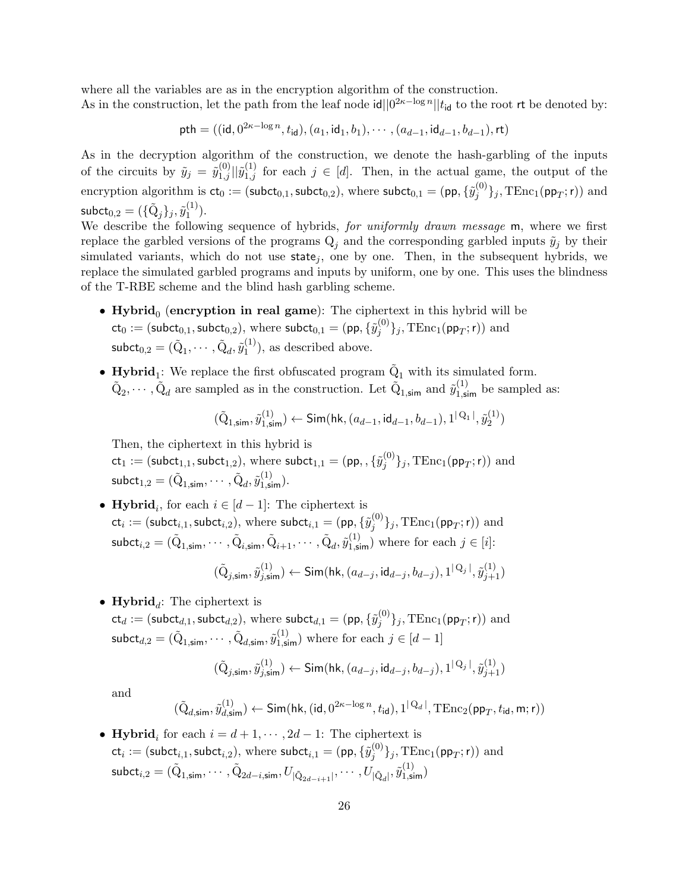where all the variables are as in the encryption algorithm of the construction.

As in the construction, let the path from the leaf node  $\frac{d}{\log^{2\kappa - \log n}}$   $|t_{\text{id}}\>$  to the root rt be denoted by:

$$
\mathsf{pth} = ((\mathsf{id}, 0^{2\kappa-\log n}, t_{\mathsf{id}}), (a_1, \mathsf{id}_1, b_1), \cdots, (a_{d-1}, \mathsf{id}_{d-1}, b_{d-1}), \mathsf{rt})
$$

As in the decryption algorithm of the construction, we denote the hash-garbling of the inputs of the circuits by  $\tilde{y}_j = \tilde{y}_{1,j}^{(0)} || \tilde{y}_{1,j}^{(1)}$  for each  $j \in [d]$ . Then, in the actual game, the output of the encryption algorithm is  $\mathsf{ct}_0 := (\mathsf{subct}_{0,1},\mathsf{subct}_{0,2}),$  where  $\mathsf{subct}_{0,1} = (\mathsf{pp}, \{\tilde{y}^{(0)}_i\}$  ${j^{(0)} \brace j}$ ,  $\mathrm{TEnc}_1(\mathsf{pp}_T; \mathsf{r})$  and subct $_{0,2} = (\{\tilde{\mathrm{Q}}_j\}_j, \tilde{y}_1^{(1)}$  $\binom{1}{1}$ .

We describe the following sequence of hybrids, for uniformly drawn message m, where we first replace the garbled versions of the programs  $Q_i$  and the corresponding garbled inputs  $\tilde{y}_j$  by their simulated variants, which do not use state<sub>j</sub>, one by one. Then, in the subsequent hybrids, we replace the simulated garbled programs and inputs by uniform, one by one. This uses the blindness of the T-RBE scheme and the blind hash garbling scheme.

- Hybrid<sub>0</sub> (encryption in real game): The ciphertext in this hybrid will be  $\mathsf{ct}_0 := (\mathsf{subct}_{0,1},\mathsf{subct}_{0,2}), \text{ where } \mathsf{subct}_{0,1} = (\mathsf{pp}, \{\tilde{y}_j^{(0)}\})$  ${j^{(0)} \choose j}$ j, TEnc<sub>1</sub>(pp<sub>T</sub>; r)) and  $\mathsf{subct}_{0,2} = (\tilde{\mathrm{Q}}_1, \cdots, \tilde{\mathrm{Q}}_d, \tilde{y}_1^{(1)})$  $1^{(1)}$ , as described above.
- **Hybrid**<sub>1</sub>: We replace the first obfuscated program  $\tilde{Q}_1$  with its simulated form.  $\tilde{Q}_2, \cdots, \tilde{Q}_d$  are sampled as in the construction. Let  $\tilde{Q}_{1,\text{sim}}$  and  $\tilde{y}_{1,\text{sim}}^{(1)}$  be sampled as:

$$
(\tilde{Q}_{1,\text{sim}}, \tilde{y}_{1,\text{sim}}^{(1)}) \leftarrow \text{Sim}(\text{hk}, (a_{d-1}, \text{id}_{d-1}, b_{d-1}), 1^{|Q_1|}, \tilde{y}_2^{(1)})
$$

Then, the ciphertext in this hybrid is

 $\mathsf{ct}_1 := (\mathsf{subct}_{1,1},\mathsf{subct}_{1,2}), \text{ where } \mathsf{subct}_{1,1} = (\mathsf{pp},,\{\tilde{y}_j^{(0)}\})$  ${j^{(0)} \choose j}$ ; TEnc<sub>1</sub>(pp<sub>T</sub>; r)) and  $\mathsf{subct}_{1,2} = (\tilde{\mathrm{Q}}_{1,\mathsf{sim}}, \cdots, \tilde{\mathrm{Q}}_d, \tilde{y}_{1,\mathsf{sim}}^{(1)}).$ 

• **Hybrid**<sub>i</sub>, for each  $i \in [d-1]$ : The ciphertext is  $\mathsf{ct}_i := (\mathsf{subct}_{i,1},\mathsf{subct}_{i,2}), \text{ where } \mathsf{subct}_{i,1} = (\mathsf{pp},\{\tilde{y}_j^{(0)}\})$  ${j^{(0)} \brace j}$ , TEnc<sub>1</sub>(pp<sub>T</sub>; r)) and  $\mathsf{subct}_{i,2} = (\tilde{\mathrm{Q}}_{1,\mathsf{sim}}, \cdots, \tilde{\mathrm{Q}}_{i,\mathsf{sim}}, \tilde{\mathrm{Q}}_{i+1}, \cdots, \tilde{\mathrm{Q}}_d, \tilde{y}_{1,\mathsf{sim}}^{(1)}) \text{ where for each } j \in [i] \mathsf{:}$ 

$$
(\tilde{Q}_{j,\text{sim}}, \tilde{y}_{j,\text{sim}}^{(1)}) \leftarrow \text{Sim}(\text{hk}, (a_{d-j}, \text{id}_{d-j}, b_{d-j}), 1^{|Q_j|}, \tilde{y}_{j+1}^{(1)})
$$

• Hybrid<sub>d</sub>: The ciphertext is

 $\mathsf{ct}_d := (\mathsf{subct}_{d,1},\mathsf{subct}_{d,2}), \text{ where } \mathsf{subct}_{d,1} = (\mathsf{pp},\{\tilde{y}_i^{(0)}\})$  ${j^{(0)} \choose j}$ j, TEnc<sub>1</sub>(pp<sub>T</sub>; r)) and  $\mathsf{subct}_{d,2} = (\tilde{\mathrm{Q}}_{1,\mathsf{sim}}, \cdots, \tilde{\mathrm{Q}}_{d,\mathsf{sim}}, \tilde{y}_{1,\mathsf{sim}}^{(1)}) \text{ where for each } j \in [d-1]$ 

$$
(\tilde{\mathbf{Q}}_{j,\mathsf{sim}}, \tilde{y}_{j,\mathsf{sim}}^{(1)}) \leftarrow \mathsf{Sim}(\mathsf{hk}, (a_{d-j}, \mathsf{id}_{d-j}, b_{d-j}), 1^{\mid \mathbf{Q}_j \mid}, \tilde{y}_{j+1}^{(1)})
$$

and

$$
(\tilde{\mathrm{Q}}_{d,\mathsf{sim}},\tilde{y}_{d,\mathsf{sim}}^{(1)}) \leftarrow \mathsf{Sim}(\mathsf{hk},(\mathsf{id},0^{2\kappa-\log n},t_{\mathsf{id}}),1^{|\mathrm{Q}_d|},\mathrm{TEnc}_2(\mathsf{pp}_T,t_{\mathsf{id}},\mathsf{m};\mathsf{r}))
$$

• **Hybrid**<sub>i</sub> for each  $i = d + 1, \dots, 2d - 1$ : The ciphertext is  $\mathsf{ct}_i := (\mathsf{subct}_{i,1},\mathsf{subct}_{i,2}), \text{ where } \mathsf{subct}_{i,1} = (\mathsf{pp},\{\tilde{y}_i^{(0)}\})$  ${j^{(0)} \choose j}$ ; TEnc<sub>1</sub>(pp<sub>T</sub>; r)) and  $\mathsf{subct}_{i,2} = (\tilde{\mathrm{Q}}_{1,\mathsf{sim}}, \cdots, \tilde{\mathrm{Q}}_{2d-i,\mathsf{sim}}, U_{|\tilde{\mathrm{Q}}_{2d-i+1}|}, \cdots, U_{|\tilde{\mathrm{Q}}_d|}, \tilde{y}_{1,\mathsf{sim}}^{(1)})$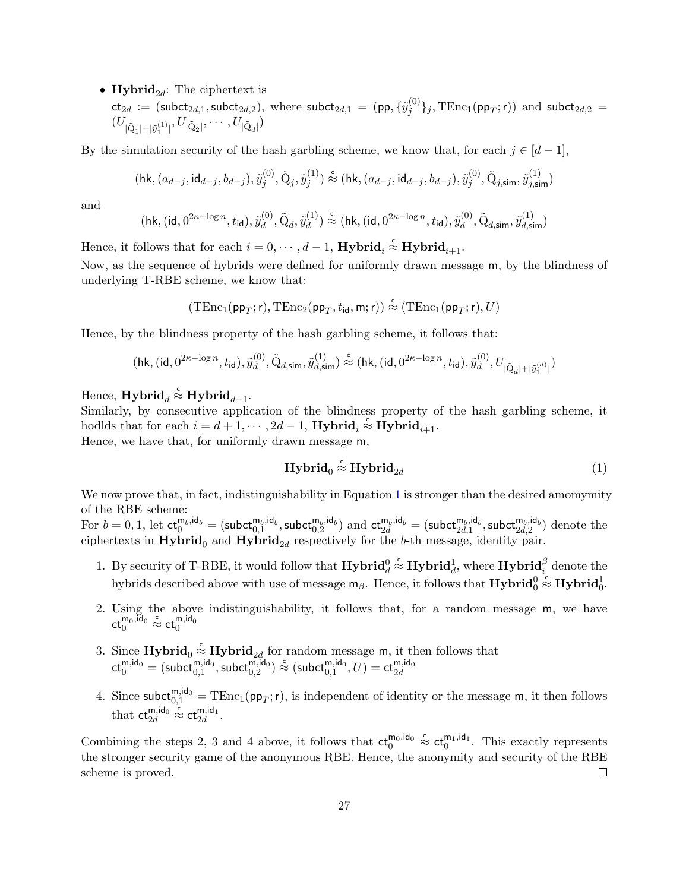## • Hybrid<sub>2d</sub>: The ciphertext is

 $\mathsf{ct}_{2d} := (\mathsf{subct}_{2d,1},\mathsf{subct}_{2d,2}), \text{ where } \mathsf{subct}_{2d,1} = (\mathsf{pp},\{\tilde{y}^{(0)}_i\})$  $\{S_j^{(0)}\}_j,$  TEnc<sub>1</sub>(pp<sub>T</sub>; r)) and subct<sub>2d,2</sub> =  $(U_{|\tilde{Q}_1|+|\tilde{y}_1^{(1)}|}, U_{|\tilde{Q}_2|}, \cdots, U_{|\tilde{Q}_d|})$ 

By the simulation security of the hash garbling scheme, we know that, for each  $j \in [d-1]$ ,

$$
(\mathsf{hk}, (a_{d-j}, \mathsf{id}_{d-j}, b_{d-j}), \tilde{y}_{j}^{(0)}, \tilde{Q}_j, \tilde{y}_{j}^{(1)}) \stackrel{\mathtt{c}}{\approx} (\mathsf{hk}, (a_{d-j}, \mathsf{id}_{d-j}, b_{d-j}), \tilde{y}_{j}^{(0)}, \tilde{Q}_{j, \mathsf{sim}}, \tilde{y}_{j, \mathsf{sim}}^{(1)})
$$

and

(hk, (id, 
$$
0^{2\kappa - \log n}
$$
,  $t_{\text{id}}$ ),  $\tilde{y}_d^{(0)}$ ,  $\tilde{Q}_d$ ,  $\tilde{y}_d^{(1)}$ )  $\stackrel{\sim}{\approx}$  (hk, (id,  $0^{2\kappa - \log n}$ ,  $t_{\text{id}}$ ),  $\tilde{y}_d^{(0)}$ ,  $\tilde{Q}_{d,\text{sim}}$ ,  $\tilde{y}_{d,\text{sim}}^{(1)}$ )

Hence, it follows that for each  $i = 0, \dots, d - 1$ , **Hybrid**<sub>i</sub>  $\stackrel{c}{\approx}$  **Hybrid**<sub>i+1</sub>.

Now, as the sequence of hybrids were defined for uniformly drawn message m, by the blindness of underlying T-RBE scheme, we know that:

$$
(\mathrm{TEnc}_1(\mathsf{pp}_T;\mathsf{r}),\mathrm{TEnc}_2(\mathsf{pp}_T,t_{\mathsf{id}},\mathsf{m};\mathsf{r})) \stackrel{\scriptscriptstyle \mathsf{c}}{\approx} (\mathrm{TEnc}_1(\mathsf{pp}_T;\mathsf{r}),U)
$$

Hence, by the blindness property of the hash garbling scheme, it follows that:

$$
(\mathsf{hk}, (\mathsf{id}, 0^{2\kappa - \log n}, t_{\mathsf{id}}), \tilde{y}_d^{(0)}, \tilde{Q}_{d, \mathsf{sim}}, \tilde{y}_{d, \mathsf{sim}}^{(1)}) \stackrel{\mathsf{c}}{\approx} (\mathsf{hk}, (\mathsf{id}, 0^{2\kappa - \log n}, t_{\mathsf{id}}), \tilde{y}_d^{(0)}, U_{|\tilde{Q}_d| + |\tilde{y}_1^{(d)}|})
$$

# Hence,  $\textbf{Hybrid}_d \overset{\mathtt{c}}{\approx} \textbf{Hybrid}_{d+1}.$

Similarly, by consecutive application of the blindness property of the hash garbling scheme, it hodlds that for each  $i = d + 1, \cdots, 2d - 1$ , **Hybrid**<sub>i</sub>  $\stackrel{\sim}{\approx}$  **Hybrid**<sub>i+1</sub>. Hence, we have that, for uniformly drawn message m,

<span id="page-26-0"></span>
$$
\mathbf{Hybrid}_{0} \stackrel{\scriptscriptstyle \circ}{\approx} \mathbf{Hybrid}_{2d} \tag{1}
$$

We now prove that, in fact, indistinguishability in Equation [1](#page-26-0) is stronger than the desired amomymity of the RBE scheme:

 $\text{For } b=0,1, \text{ let } \textsf{ct}_0^{\mathsf{m}_b,\textsf{id}_b} = (\textsf{subct}_{0,1}^{\mathsf{m}_b,\textsf{id}_b}, \textsf{subct}_{0,2}^{\mathsf{m}_b,\textsf{id}_b}) \text{ and } \textsf{ct}_{2d}^{\mathsf{m}_b,\textsf{id}_b} = (\textsf{subct}_{2d,1}^{\mathsf{m}_b,\textsf{id}_b}, \textsf{subct}_{2d,2}^{\mathsf{m}_b,\textsf{id}_b}) \text{ denote the }$ ciphertexts in  $\text{Hybrid}_{0}$  and  $\text{Hybrid}_{2d}$  respectively for the b-th message, identity pair.

- 1. By security of T-RBE, it would follow that  $\textbf{Hybrid}_{d}^{0}$  $\stackrel{\scriptscriptstyle \varepsilon}{\approx} \mathbf{Hybrid}^1_d,$  where  $\mathbf{Hybrid}^\beta_i$  denote the hybrids described above with use of message  $\mathsf{m}_\beta$ . Hence, it follows that  $\mathbf{Hybrid}_0^0$  $\stackrel{\scriptscriptstyle \circ}{\approx} \mathbf{Hybrid}_0^1.$
- 2. Using the above indistinguishability, it follows that, for a random message m, we have  $\mathsf{ct}_0^{\mathsf{m}_0,\mathsf{id}_0}$  $\stackrel{\scriptscriptstyle \mathsf{c}}{\approx} \mathsf{ct}_0^{\mathsf{m},\mathsf{id}_0}$
- 3. Since  $\text{Hybrid}_0 \overset{\text{c}}{\approx} \text{Hybrid}_{2d}$  for random message m, it then follows that  $\mathsf{ct}_0^{\mathsf{m},\mathsf{id}_0} = (\mathsf{subct}_{0,1}^{\mathsf{m},\mathsf{id}_0},\mathsf{subct}_{0,2}^{\mathsf{m},\mathsf{id}_0}) \overset{\mathtt{c}}{\approx} (\mathsf{subct}_{0,1}^{\mathsf{m},\mathsf{id}_0},U) = \mathsf{ct}_{2d}^{\mathsf{m},\mathsf{id}_0}$
- 4. Since subct<sub>0,1</sub><sup> $m, id_0$ </sup> = TEnc<sub>1</sub>(pp<sub>T</sub>; r), is independent of identity or the message m, it then follows that  $\mathsf{ct}_{2d}^{\mathsf{m},\mathsf{id}_0}$  $\stackrel{\scriptscriptstyle \mathsf{c}}{\approx} \mathsf{ct}_{2d}^{\mathsf{m},\mathsf{id}_1}.$

Combining the steps 2, 3 and 4 above, it follows that  $ct_0^{m_0,id_0}$  $\stackrel{\varepsilon}{\approx}$  ct<sub>0</sub><sup>m<sub>1</sub>,id<sub>1</sub>. This exactly represents</sup> the stronger security game of the anonymous RBE. Hence, the anonymity and security of the RBE scheme is proved.  $\Box$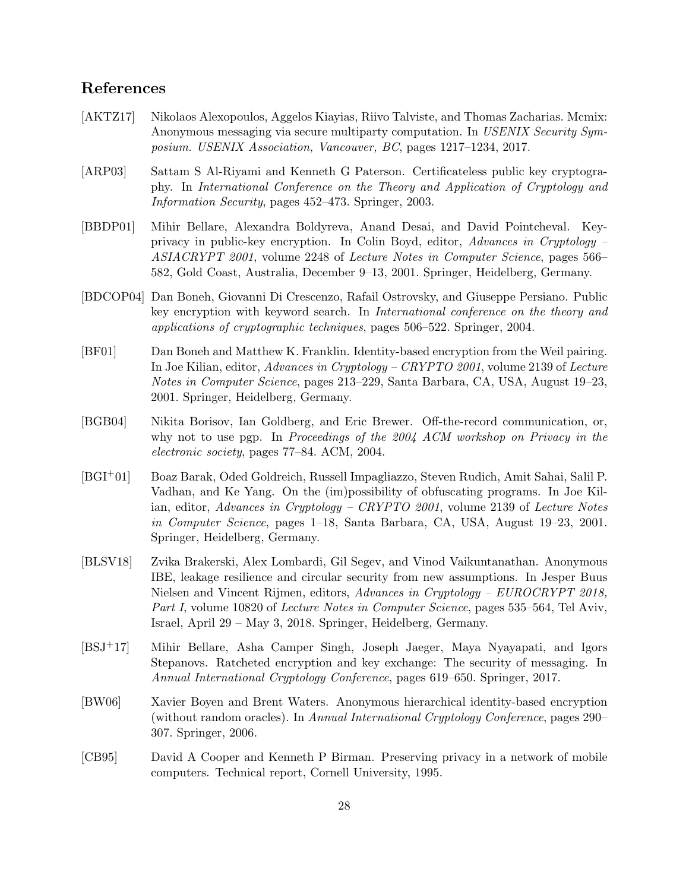## References

- <span id="page-27-8"></span>[AKTZ17] Nikolaos Alexopoulos, Aggelos Kiayias, Riivo Talviste, and Thomas Zacharias. Mcmix: Anonymous messaging via secure multiparty computation. In USENIX Security Symposium. USENIX Association, Vancouver, BC, pages 1217–1234, 2017.
- <span id="page-27-1"></span>[ARP03] Sattam S Al-Riyami and Kenneth G Paterson. Certificateless public key cryptography. In International Conference on the Theory and Application of Cryptology and Information Security, pages 452–473. Springer, 2003.
- <span id="page-27-6"></span>[BBDP01] Mihir Bellare, Alexandra Boldyreva, Anand Desai, and David Pointcheval. Keyprivacy in public-key encryption. In Colin Boyd, editor, Advances in Cryptology – ASIACRYPT 2001, volume 2248 of Lecture Notes in Computer Science, pages 566– 582, Gold Coast, Australia, December 9–13, 2001. Springer, Heidelberg, Germany.
- <span id="page-27-3"></span>[BDCOP04] Dan Boneh, Giovanni Di Crescenzo, Rafail Ostrovsky, and Giuseppe Persiano. Public key encryption with keyword search. In International conference on the theory and applications of cryptographic techniques, pages 506–522. Springer, 2004.
- <span id="page-27-0"></span>[BF01] Dan Boneh and Matthew K. Franklin. Identity-based encryption from the Weil pairing. In Joe Kilian, editor, Advances in Cryptology – CRYPTO 2001, volume 2139 of Lecture Notes in Computer Science, pages 213–229, Santa Barbara, CA, USA, August 19–23, 2001. Springer, Heidelberg, Germany.
- <span id="page-27-10"></span>[BGB04] Nikita Borisov, Ian Goldberg, and Eric Brewer. Off-the-record communication, or, why not to use pgp. In Proceedings of the 2004 ACM workshop on Privacy in the electronic society, pages 77–84. ACM, 2004.
- <span id="page-27-2"></span>[BGI+01] Boaz Barak, Oded Goldreich, Russell Impagliazzo, Steven Rudich, Amit Sahai, Salil P. Vadhan, and Ke Yang. On the (im)possibility of obfuscating programs. In Joe Kilian, editor, Advances in Cryptology – CRYPTO 2001, volume 2139 of Lecture Notes in Computer Science, pages 1–18, Santa Barbara, CA, USA, August 19–23, 2001. Springer, Heidelberg, Germany.
- <span id="page-27-4"></span>[BLSV18] Zvika Brakerski, Alex Lombardi, Gil Segev, and Vinod Vaikuntanathan. Anonymous IBE, leakage resilience and circular security from new assumptions. In Jesper Buus Nielsen and Vincent Rijmen, editors, Advances in Cryptology – EUROCRYPT 2018, Part I, volume 10820 of Lecture Notes in Computer Science, pages 535–564, Tel Aviv, Israel, April 29 – May 3, 2018. Springer, Heidelberg, Germany.
- <span id="page-27-7"></span>[BSJ+17] Mihir Bellare, Asha Camper Singh, Joseph Jaeger, Maya Nyayapati, and Igors Stepanovs. Ratcheted encryption and key exchange: The security of messaging. In Annual International Cryptology Conference, pages 619–650. Springer, 2017.
- <span id="page-27-5"></span>[BW06] Xavier Boyen and Brent Waters. Anonymous hierarchical identity-based encryption (without random oracles). In Annual International Cryptology Conference, pages 290– 307. Springer, 2006.
- <span id="page-27-9"></span>[CB95] David A Cooper and Kenneth P Birman. Preserving privacy in a network of mobile computers. Technical report, Cornell University, 1995.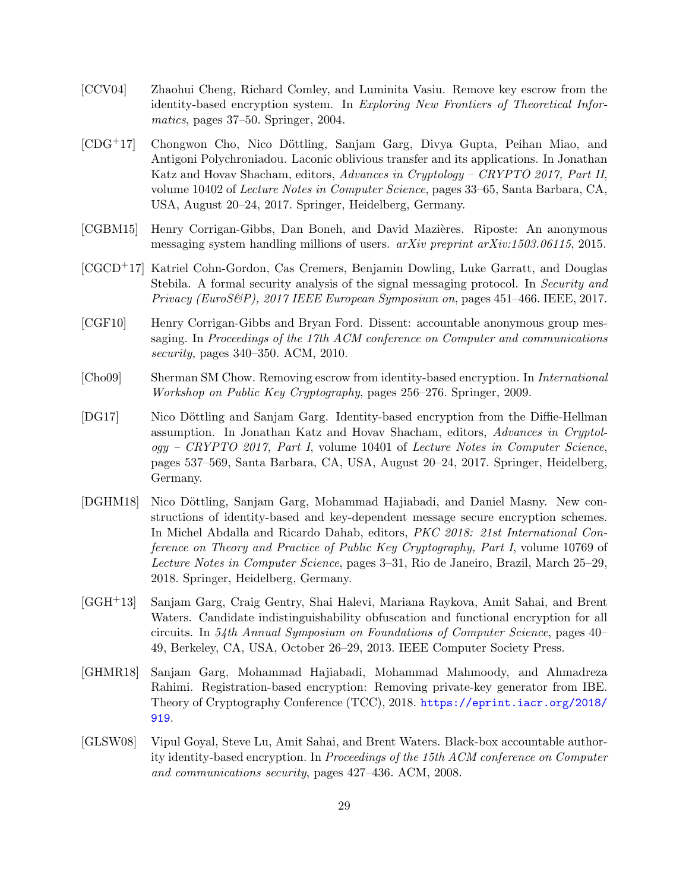- <span id="page-28-1"></span>[CCV04] Zhaohui Cheng, Richard Comley, and Luminita Vasiu. Remove key escrow from the identity-based encryption system. In Exploring New Frontiers of Theoretical Informatics, pages 37–50. Springer, 2004.
- <span id="page-28-5"></span>[CDG<sup>+</sup>17] Chongwon Cho, Nico Döttling, Sanjam Garg, Divya Gupta, Peihan Miao, and Antigoni Polychroniadou. Laconic oblivious transfer and its applications. In Jonathan Katz and Hovav Shacham, editors, Advances in Cryptology – CRYPTO 2017, Part II, volume 10402 of Lecture Notes in Computer Science, pages 33–65, Santa Barbara, CA, USA, August 20–24, 2017. Springer, Heidelberg, Germany.
- <span id="page-28-9"></span>[CGBM15] Henry Corrigan-Gibbs, Dan Boneh, and David Mazières. Riposte: An anonymous messaging system handling millions of users. arXiv preprint arXiv:1503.06115, 2015.
- <span id="page-28-10"></span>[CGCD+17] Katriel Cohn-Gordon, Cas Cremers, Benjamin Dowling, Luke Garratt, and Douglas Stebila. A formal security analysis of the signal messaging protocol. In Security and Privacy (EuroS&P), 2017 IEEE European Symposium on, pages 451–466. IEEE, 2017.
- <span id="page-28-8"></span>[CGF10] Henry Corrigan-Gibbs and Bryan Ford. Dissent: accountable anonymous group messaging. In Proceedings of the 17th ACM conference on Computer and communications security, pages 340–350. ACM, 2010.
- <span id="page-28-2"></span>[Cho09] Sherman SM Chow. Removing escrow from identity-based encryption. In International Workshop on Public Key Cryptography, pages 256–276. Springer, 2009.
- <span id="page-28-6"></span>[DG17] Nico Döttling and Sanjam Garg. Identity-based encryption from the Diffie-Hellman assumption. In Jonathan Katz and Hovav Shacham, editors, Advances in Cryptol $oqu - CRYPTO 2017$ , Part I, volume 10401 of Lecture Notes in Computer Science, pages 537–569, Santa Barbara, CA, USA, August 20–24, 2017. Springer, Heidelberg, Germany.
- <span id="page-28-7"></span>[DGHM18] Nico Döttling, Sanjam Garg, Mohammad Hajiabadi, and Daniel Masny. New constructions of identity-based and key-dependent message secure encryption schemes. In Michel Abdalla and Ricardo Dahab, editors, PKC 2018: 21st International Conference on Theory and Practice of Public Key Cryptography, Part I, volume 10769 of Lecture Notes in Computer Science, pages 3–31, Rio de Janeiro, Brazil, March 25–29, 2018. Springer, Heidelberg, Germany.
- <span id="page-28-4"></span>[GGH+13] Sanjam Garg, Craig Gentry, Shai Halevi, Mariana Raykova, Amit Sahai, and Brent Waters. Candidate indistinguishability obfuscation and functional encryption for all circuits. In 54th Annual Symposium on Foundations of Computer Science, pages 40– 49, Berkeley, CA, USA, October 26–29, 2013. IEEE Computer Society Press.
- <span id="page-28-3"></span>[GHMR18] Sanjam Garg, Mohammad Hajiabadi, Mohammad Mahmoody, and Ahmadreza Rahimi. Registration-based encryption: Removing private-key generator from IBE. Theory of Cryptography Conference (TCC), 2018. [https://eprint.iacr.org/2018/](https://eprint.iacr.org/2018/919) [919](https://eprint.iacr.org/2018/919).
- <span id="page-28-0"></span>[GLSW08] Vipul Goyal, Steve Lu, Amit Sahai, and Brent Waters. Black-box accountable authority identity-based encryption. In Proceedings of the 15th ACM conference on Computer and communications security, pages 427–436. ACM, 2008.